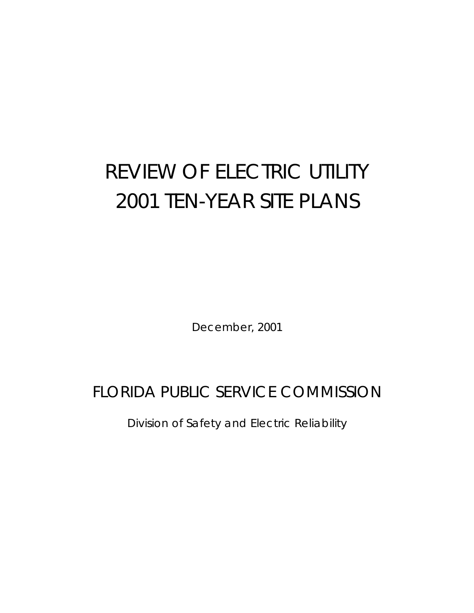# REVIEW OF ELECTRIC UTILITY 2001 TEN-YEAR SITE PLANS

December, 2001

# FLORIDA PUBLIC SERVICE COMMISSION

Division of Safety and Electric Reliability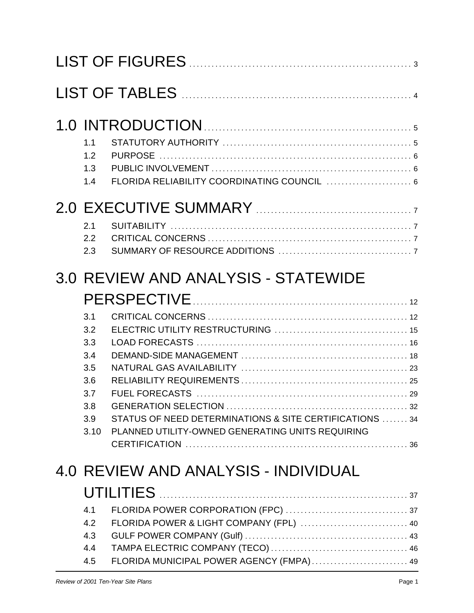| 1.1<br>1.2<br>1.3<br>FLORIDA RELIABILITY COORDINATING COUNCIL  6<br>1.4                                                                                                                                                  |  |
|--------------------------------------------------------------------------------------------------------------------------------------------------------------------------------------------------------------------------|--|
| 2.1<br>2.2<br>2.3                                                                                                                                                                                                        |  |
| 3.0 REVIEW AND ANALYSIS - STATEWIDE<br>3.1<br>3.2<br>3.3<br>3.4<br>3.5<br>3.6<br>3.7<br>3.8<br>STATUS OF NEED DETERMINATIONS & SITE CERTIFICATIONS 34<br>3.9<br>PLANNED UTILITY-OWNED GENERATING UNITS REQUIRING<br>3.10 |  |
| 4.0 REVIEW AND ANALYSIS - INDIVIDUAL<br>4.1<br>FLORIDA POWER & LIGHT COMPANY (FPL)  40<br>4.2<br>4.3<br>4.4<br>FLORIDA MUNICIPAL POWER AGENCY (FMPA) 49<br>4.5                                                           |  |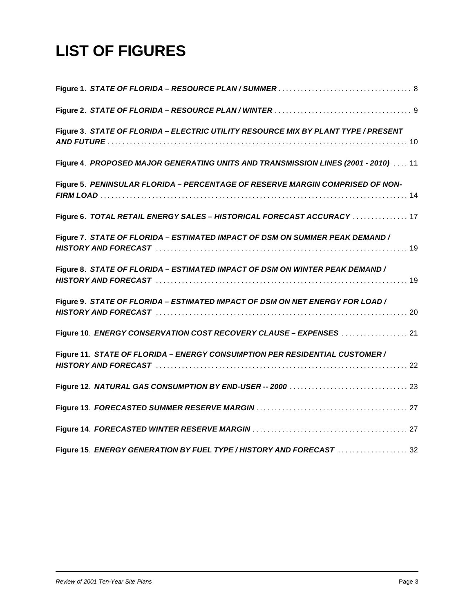# **LIST OF FIGURES**

| Figure 3. STATE OF FLORIDA - ELECTRIC UTILITY RESOURCE MIX BY PLANT TYPE / PRESENT |
|------------------------------------------------------------------------------------|
| Figure 4. PROPOSED MAJOR GENERATING UNITS AND TRANSMISSION LINES (2001 - 2010)  11 |
| Figure 5. PENINSULAR FLORIDA - PERCENTAGE OF RESERVE MARGIN COMPRISED OF NON-      |
| Figure 6. TOTAL RETAIL ENERGY SALES - HISTORICAL FORECAST ACCURACY  17             |
| Figure 7. STATE OF FLORIDA - ESTIMATED IMPACT OF DSM ON SUMMER PEAK DEMAND /       |
| Figure 8. STATE OF FLORIDA - ESTIMATED IMPACT OF DSM ON WINTER PEAK DEMAND /       |
| Figure 9. STATE OF FLORIDA - ESTIMATED IMPACT OF DSM ON NET ENERGY FOR LOAD /      |
| Figure 10. ENERGY CONSERVATION COST RECOVERY CLAUSE - EXPENSES  21                 |
| Figure 11. STATE OF FLORIDA - ENERGY CONSUMPTION PER RESIDENTIAL CUSTOMER /        |
|                                                                                    |
|                                                                                    |
|                                                                                    |
| Figure 15. ENERGY GENERATION BY FUEL TYPE/HISTORY AND FORECAST 32                  |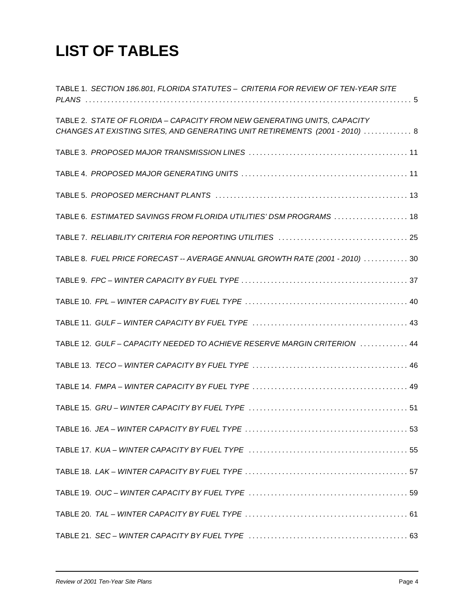# **LIST OF TABLES**

| TABLE 1. SECTION 186.801, FLORIDA STATUTES - CRITERIA FOR REVIEW OF TEN-YEAR SITE |
|-----------------------------------------------------------------------------------|
|                                                                                   |
| TABLE 2. STATE OF FLORIDA - CAPACITY FROM NEW GENERATING UNITS, CAPACITY          |
| CHANGES AT EXISTING SITES, AND GENERATING UNIT RETIREMENTS (2001 - 2010)  8       |
|                                                                                   |
|                                                                                   |
|                                                                                   |
| TABLE 6. ESTIMATED SAVINGS FROM FLORIDA UTILITIES' DSM PROGRAMS  18               |
|                                                                                   |
| TABLE 8. FUEL PRICE FORECAST -- AVERAGE ANNUAL GROWTH RATE (2001 - 2010)  30      |
|                                                                                   |
|                                                                                   |
|                                                                                   |
| TABLE 12. GULF-CAPACITY NEEDED TO ACHIEVE RESERVE MARGIN CRITERION  44            |
|                                                                                   |
|                                                                                   |
|                                                                                   |
|                                                                                   |
|                                                                                   |
|                                                                                   |
|                                                                                   |
|                                                                                   |
|                                                                                   |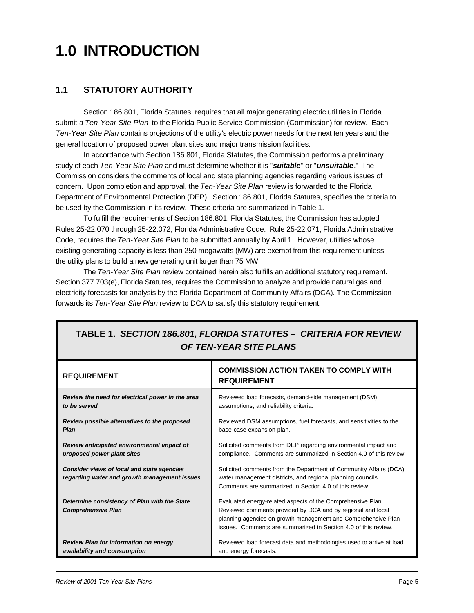# **1.0 INTRODUCTION**

# **1.1 STATUTORY AUTHORITY**

Section 186.801, Florida Statutes, requires that all major generating electric utilities in Florida submit a *Ten-Year Site Plan* to the Florida Public Service Commission (Commission) for review. Each *Ten-Year Site Plan* contains projections of the utility's electric power needs for the next ten years and the general location of proposed power plant sites and major transmission facilities.

In accordance with Section 186.801, Florida Statutes, the Commission performs a preliminary study of each *Ten-Year Site Plan* and must determine whether it is "*suitable*" or "*unsuitable*." The Commission considers the comments of local and state planning agencies regarding various issues of concern. Upon completion and approval, the *Ten-Year Site Plan* review is forwarded to the Florida Department of Environmental Protection (DEP). Section 186.801, Florida Statutes, specifies the criteria to be used by the Commission in its review. These criteria are summarized in Table 1.

To fulfill the requirements of Section 186.801, Florida Statutes, the Commission has adopted Rules 25-22.070 through 25-22.072, Florida Administrative Code. Rule 25-22.071, Florida Administrative Code, requires the *Ten-Year Site Plan* to be submitted annually by April 1. However, utilities whose existing generating capacity is less than 250 megawatts (MW) are exempt from this requirement unless the utility plans to build a new generating unit larger than 75 MW.

The *Ten-Year Site Plan* review contained herein also fulfills an additional statutory requirement. Section 377.703(e), Florida Statutes, requires the Commission to analyze and provide natural gas and electricity forecasts for analysis by the Florida Department of Community Affairs (DCA). The Commission forwards its *Ten-Year Site Plan* review to DCA to satisfy this statutory requirement.

| <b>REQUIREMENT</b>                                                                         | <b>COMMISSION ACTION TAKEN TO COMPLY WITH</b><br><b>REQUIREMENT</b>                                                                                                                                                                                           |
|--------------------------------------------------------------------------------------------|---------------------------------------------------------------------------------------------------------------------------------------------------------------------------------------------------------------------------------------------------------------|
| Review the need for electrical power in the area                                           | Reviewed load forecasts, demand-side management (DSM)                                                                                                                                                                                                         |
| to be served                                                                               | assumptions, and reliability criteria.                                                                                                                                                                                                                        |
| Review possible alternatives to the proposed                                               | Reviewed DSM assumptions, fuel forecasts, and sensitivities to the                                                                                                                                                                                            |
| <b>Plan</b>                                                                                | base-case expansion plan.                                                                                                                                                                                                                                     |
| Review anticipated environmental impact of                                                 | Solicited comments from DEP regarding environmental impact and                                                                                                                                                                                                |
| proposed power plant sites                                                                 | compliance. Comments are summarized in Section 4.0 of this review.                                                                                                                                                                                            |
| Consider views of local and state agencies<br>regarding water and growth management issues | Solicited comments from the Department of Community Affairs (DCA),<br>water management districts, and regional planning councils.<br>Comments are summarized in Section 4.0 of this review.                                                                   |
| Determine consistency of Plan with the State<br><b>Comprehensive Plan</b>                  | Evaluated energy-related aspects of the Comprehensive Plan.<br>Reviewed comments provided by DCA and by regional and local<br>planning agencies on growth management and Comprehensive Plan<br>issues. Comments are summarized in Section 4.0 of this review. |
| <b>Review Plan for information on energy</b>                                               | Reviewed load forecast data and methodologies used to arrive at load                                                                                                                                                                                          |
| availability and consumption                                                               | and energy forecasts.                                                                                                                                                                                                                                         |

# **TABLE 1.** *SECTION 186.801, FLORIDA STATUTES – CRITERIA FOR REVIEW OF TEN-YEAR SITE PLANS*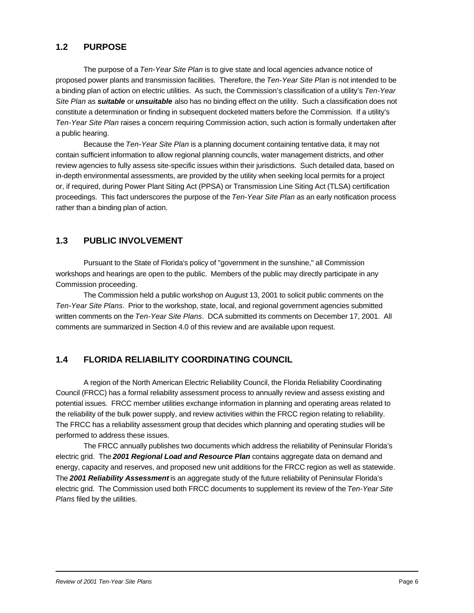### **1.2 PURPOSE**

The purpose of a *Ten-Year Site Plan* is to give state and local agencies advance notice of proposed power plants and transmission facilities. Therefore, the *Ten-Year Site Plan* is not intended to be a binding plan of action on electric utilities. As such, the Commission's classification of a utility's *Ten-Year Site Plan* as *suitable* or *unsuitable* also has no binding effect on the utility. Such a classification does not constitute a determination or finding in subsequent docketed matters before the Commission. If a utility's *Ten-Year Site Plan* raises a concern requiring Commission action, such action is formally undertaken after a public hearing.

Because the *Ten-Year Site Plan* is a planning document containing tentative data, it may not contain sufficient information to allow regional planning councils, water management districts, and other review agencies to fully assess site-specific issues within their jurisdictions. Such detailed data, based on in-depth environmental assessments, are provided by the utility when seeking local permits for a project or, if required, during Power Plant Siting Act (PPSA) or Transmission Line Siting Act (TLSA) certification proceedings. This fact underscores the purpose of the *Ten-Year Site Plan* as an early notification process rather than a binding plan of action.

### **1.3 PUBLIC INVOLVEMENT**

Pursuant to the State of Florida's policy of "government in the sunshine," all Commission workshops and hearings are open to the public. Members of the public may directly participate in any Commission proceeding.

The Commission held a public workshop on August 13, 2001 to solicit public comments on the *Ten-Year Site Plans*. Prior to the workshop, state, local, and regional government agencies submitted written comments on the *Ten-Year Site Plans*. DCA submitted its comments on December 17, 2001. All comments are summarized in Section 4.0 of this review and are available upon request.

# **1.4 FLORIDA RELIABILITY COORDINATING COUNCIL**

A region of the North American Electric Reliability Council, the Florida Reliability Coordinating Council (FRCC) has a formal reliability assessment process to annually review and assess existing and potential issues. FRCC member utilities exchange information in planning and operating areas related to the reliability of the bulk power supply, and review activities within the FRCC region relating to reliability. The FRCC has a reliability assessment group that decides which planning and operating studies will be performed to address these issues.

The FRCC annually publishes two documents which address the reliability of Peninsular Florida's electric grid. The *2001 Regional Load and Resource Plan* contains aggregate data on demand and energy, capacity and reserves, and proposed new unit additions for the FRCC region as well as statewide. The *2001 Reliability Assessment* is an aggregate study of the future reliability of Peninsular Florida's electric grid. The Commission used both FRCC documents to supplement its review of the *Ten-Year Site Plans* filed by the utilities.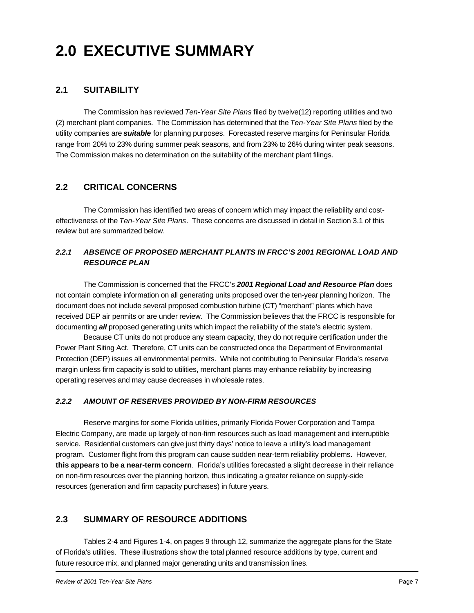# **2.0 EXECUTIVE SUMMARY**

# **2.1 SUITABILITY**

The Commission has reviewed *Ten-Year Site Plans* filed by twelve(12) reporting utilities and two (2) merchant plant companies. The Commission has determined that the *Ten-Year Site Plans* filed by the utility companies are *suitable* for planning purposes. Forecasted reserve margins for Peninsular Florida range from 20% to 23% during summer peak seasons, and from 23% to 26% during winter peak seasons. The Commission makes no determination on the suitability of the merchant plant filings.

# **2.2 CRITICAL CONCERNS**

The Commission has identified two areas of concern which may impact the reliability and costeffectiveness of the *Ten-Year Site Plans*. These concerns are discussed in detail in Section 3.1 of this review but are summarized below.

### *2.2.1 ABSENCE OF PROPOSED MERCHANT PLANTS IN FRCC'S 2001 REGIONAL LOAD AND RESOURCE PLAN*

The Commission is concerned that the FRCC's *2001 Regional Load and Resource Plan* does not contain complete information on all generating units proposed over the ten-year planning horizon. The document does not include several proposed combustion turbine (CT) "merchant" plants which have received DEP air permits or are under review. The Commission believes that the FRCC is responsible for documenting *all* proposed generating units which impact the reliability of the state's electric system.

Because CT units do not produce any steam capacity, they do not require certification under the Power Plant Siting Act. Therefore, CT units can be constructed once the Department of Environmental Protection (DEP) issues all environmental permits. While not contributing to Peninsular Florida's reserve margin unless firm capacity is sold to utilities, merchant plants may enhance reliability by increasing operating reserves and may cause decreases in wholesale rates.

#### *2.2.2 AMOUNT OF RESERVES PROVIDED BY NON-FIRM RESOURCES*

Reserve margins for some Florida utilities, primarily Florida Power Corporation and Tampa Electric Company, are made up largely of non-firm resources such as load management and interruptible service. Residential customers can give just thirty days' notice to leave a utility's load management program. Customer flight from this program can cause sudden near-term reliability problems. However, **this appears to be a near-term concern**. Florida's utilities forecasted a slight decrease in their reliance on non-firm resources over the planning horizon, thus indicating a greater reliance on supply-side resources (generation and firm capacity purchases) in future years.

# **2.3 SUMMARY OF RESOURCE ADDITIONS**

Tables 2-4 and Figures 1-4, on pages 9 through 12, summarize the aggregate plans for the State of Florida's utilities. These illustrations show the total planned resource additions by type, current and future resource mix, and planned major generating units and transmission lines.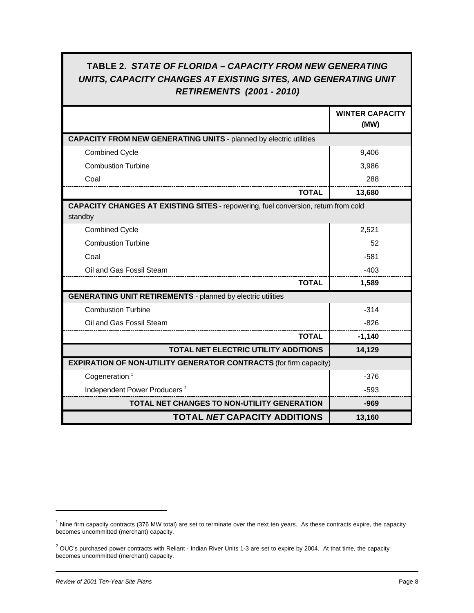# **TABLE 2.** *STATE OF FLORIDA – CAPACITY FROM NEW GENERATING UNITS, CAPACITY CHANGES AT EXISTING SITES, AND GENERATING UNIT RETIREMENTS (2001 - 2010)*

|                                                                                                      | <b>WINTER CAPACITY</b><br>(MW) |
|------------------------------------------------------------------------------------------------------|--------------------------------|
| <b>CAPACITY FROM NEW GENERATING UNITS - planned by electric utilities</b>                            |                                |
| <b>Combined Cycle</b>                                                                                | 9,406                          |
| <b>Combustion Turbine</b>                                                                            | 3,986                          |
| Coal                                                                                                 | 288                            |
| <b>TOTAL</b>                                                                                         | 13,680                         |
| <b>CAPACITY CHANGES AT EXISTING SITES - repowering, fuel conversion, return from cold</b><br>standby |                                |
| <b>Combined Cycle</b>                                                                                | 2,521                          |
| <b>Combustion Turbine</b>                                                                            | 52                             |
| Coal                                                                                                 | $-581$                         |
| Oil and Gas Fossil Steam                                                                             | $-403$                         |
| <b>TOTAL</b>                                                                                         | 1,589                          |
| <b>GENERATING UNIT RETIREMENTS</b> - planned by electric utilities                                   |                                |
| <b>Combustion Turbine</b>                                                                            | $-314$                         |
| Oil and Gas Fossil Steam                                                                             | $-826$                         |
| <b>TOTAL</b>                                                                                         | $-1,140$                       |
| TOTAL NET ELECTRIC UTILITY ADDITIONS                                                                 | 14,129                         |
| <b>EXPIRATION OF NON-UTILITY GENERATOR CONTRACTS (for firm capacity)</b>                             |                                |
| Cogeneration $1$                                                                                     | $-376$                         |
| Independent Power Producers <sup>2</sup>                                                             | $-593$                         |
| <b>TOTAL NET CHANGES TO NON-UTILITY GENERATION</b>                                                   | $-969$                         |
| <b>TOTAL NET CAPACITY ADDITIONS</b>                                                                  | 13,160                         |

 $1$  Nine firm capacity contracts (376 MW total) are set to terminate over the next ten years. As these contracts expire, the capacity becomes uncommitted (merchant) capacity.

 $2$  OUC's purchased power contracts with Reliant - Indian River Units 1-3 are set to expire by 2004. At that time, the capacity becomes uncommitted (merchant) capacity.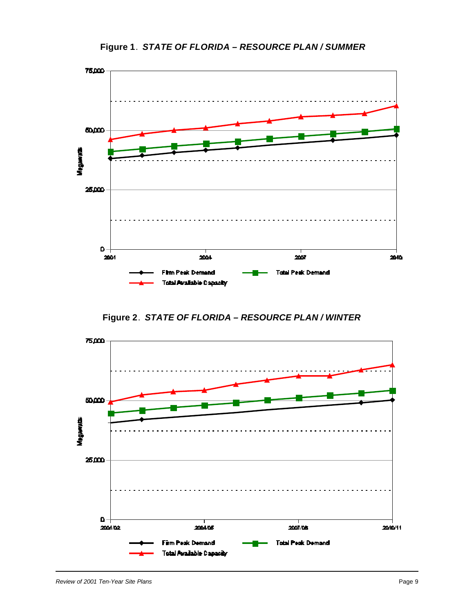

**Figure 1**. *STATE OF FLORIDA – RESOURCE PLAN / SUMMER*

**Figure 2**. *STATE OF FLORIDA – RESOURCE PLAN / WINTER*

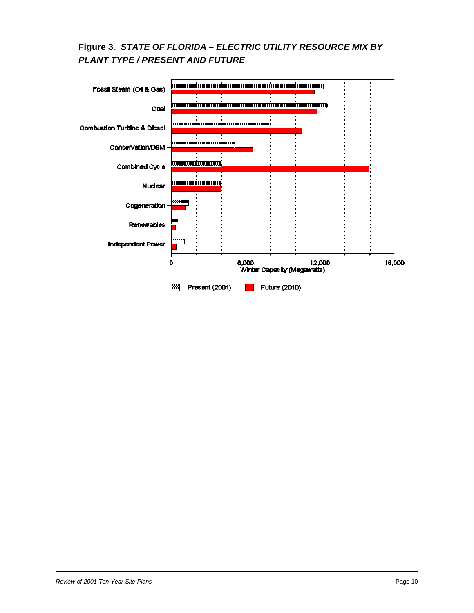# **Figure 3**. *STATE OF FLORIDA – ELECTRIC UTILITY RESOURCE MIX BY PLANT TYPE / PRESENT AND FUTURE*

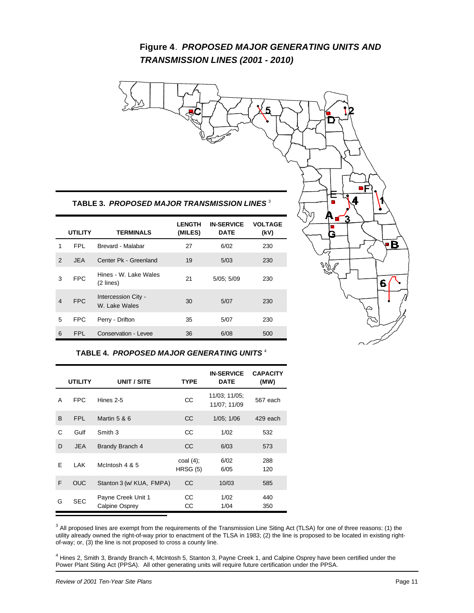# **Figure 4**. *PROPOSED MAJOR GENERATING UNITS AND TRANSMISSION LINES (2001 - 2010)*



#### **TABLE 4.** *PROPOSED MAJOR GENERATING UNITS* <sup>4</sup>

|   | <b>UTILITY</b> | UNIT / SITE                          | TYPE                 | <b>IN-SERVICE</b><br><b>DATE</b> | <b>CAPACITY</b><br>(MW) |
|---|----------------|--------------------------------------|----------------------|----------------------------------|-------------------------|
| A | FPC            | Hines 2-5                            | СC                   | 11/03; 11/05;<br>11/07; 11/09    | 567 each                |
| B | FPL            | Martin 5 & 6                         | CC                   | $1/05$ ; $1/06$                  | 429 each                |
| C | Gulf           | Smith 3                              | СC                   | 1/02                             | 532                     |
| D | <b>JEA</b>     | <b>Brandy Branch 4</b>               | CC                   | 6/03                             | 573                     |
| F | LAK            | McIntosh 4 & 5                       | coal (4);<br>HRSG(5) | 6/02<br>6/05                     | 288<br>120              |
| F | <b>OUC</b>     | Stanton 3 (w/ KUA, FMPA)             | <b>CC</b>            | 10/03                            | 585                     |
| G | <b>SEC</b>     | Payne Creek Unit 1<br>Calpine Osprey | CС<br>CС             | 1/02<br>1/04                     | 440<br>350              |

 $3$  All proposed lines are exempt from the requirements of the Transmission Line Siting Act (TLSA) for one of three reasons: (1) the utility already owned the right-of-way prior to enactment of the TLSA in 1983; (2) the line is proposed to be located in existing rightof-way; or, (3) the line is not proposed to cross a county line.

<sup>4</sup> Hines 2, Smith 3, Brandy Branch 4, McIntosh 5, Stanton 3, Payne Creek 1, and Calpine Osprey have been certified under the Power Plant Siting Act (PPSA). All other generating units will require future certification under the PPSA.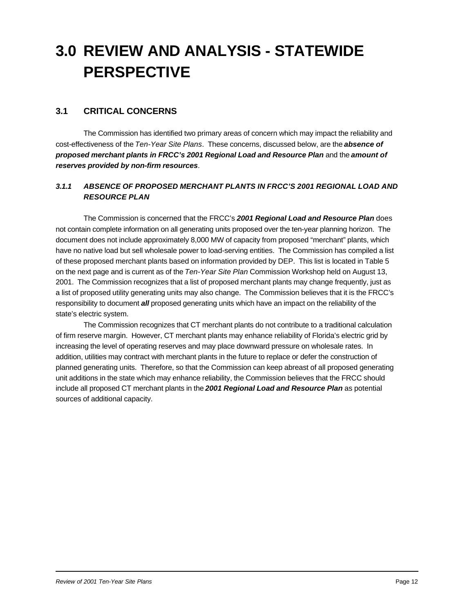# **3.0 REVIEW AND ANALYSIS - STATEWIDE PERSPECTIVE**

### **3.1 CRITICAL CONCERNS**

The Commission has identified two primary areas of concern which may impact the reliability and cost-effectiveness of the *Ten-Year Site Plans*. These concerns, discussed below, are the *absence of proposed merchant plants in FRCC's 2001 Regional Load and Resource Plan* and the *amount of reserves provided by non-firm resources*.

#### *3.1.1 ABSENCE OF PROPOSED MERCHANT PLANTS IN FRCC'S 2001 REGIONAL LOAD AND RESOURCE PLAN*

The Commission is concerned that the FRCC's *2001 Regional Load and Resource Plan* does not contain complete information on all generating units proposed over the ten-year planning horizon. The document does not include approximately 8,000 MW of capacity from proposed "merchant" plants, which have no native load but sell wholesale power to load-serving entities. The Commission has compiled a list of these proposed merchant plants based on information provided by DEP. This list is located in Table 5 on the next page and is current as of the *Ten-Year Site Plan* Commission Workshop held on August 13, 2001. The Commission recognizes that a list of proposed merchant plants may change frequently, just as a list of proposed utility generating units may also change. The Commission believes that it is the FRCC's responsibility to document *all* proposed generating units which have an impact on the reliability of the state's electric system.

The Commission recognizes that CT merchant plants do not contribute to a traditional calculation of firm reserve margin. However, CT merchant plants may enhance reliability of Florida's electric grid by increasing the level of operating reserves and may place downward pressure on wholesale rates. In addition, utilities may contract with merchant plants in the future to replace or defer the construction of planned generating units. Therefore, so that the Commission can keep abreast of all proposed generating unit additions in the state which may enhance reliability, the Commission believes that the FRCC should include all proposed CT merchant plants in the *2001 Regional Load and Resource Plan* as potential sources of additional capacity.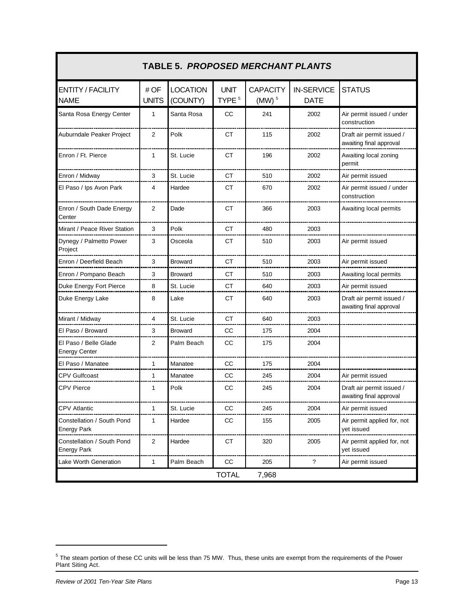| <b>TABLE 5. PROPOSED MERCHANT PLANTS</b>         |                     |                             |                                  |                                        |                                  |                                                      |
|--------------------------------------------------|---------------------|-----------------------------|----------------------------------|----------------------------------------|----------------------------------|------------------------------------------------------|
| <b>ENTITY / FACILITY</b><br><b>NAME</b>          | #OF<br><b>UNITS</b> | <b>LOCATION</b><br>(COUNTY) | <b>UNIT</b><br>TYPE <sup>5</sup> | <b>CAPACITY</b><br>$(MW)$ <sup>5</sup> | <b>IN-SERVICE</b><br><b>DATE</b> | <b>STATUS</b>                                        |
| Santa Rosa Energy Center                         | 1                   | Santa Rosa                  | <b>CC</b>                        | 241                                    | 2002                             | Air permit issued / under<br>construction            |
| Auburndale Peaker Project                        | 2                   | Polk                        | СT                               | 115                                    | 2002                             | Draft air permit issued /<br>awaiting final approval |
| Enron / Ft. Pierce                               | 1                   | St. Lucie                   | <b>CT</b>                        | 196                                    | 2002                             | Awaiting local zoning<br>permit                      |
| Enron / Midway                                   | 3                   | St. Lucie                   | СT                               | 510                                    | 2002                             | Air permit issued                                    |
| El Paso / Ips Avon Park                          | 4                   | Hardee                      | СT                               | 670                                    | 2002                             | Air permit issued / under<br>construction            |
| Enron / South Dade Energy<br>Center              | 2                   | Dade                        | СT                               | 366                                    | 2003                             | Awaiting local permits                               |
| Mirant / Peace River Station                     | 3                   | Polk                        | СT                               | 480                                    | 2003                             |                                                      |
| Dynegy / Palmetto Power<br>Project               | 3                   | Osceola                     | СT                               | 510                                    | 2003                             | Air permit issued                                    |
| Enron / Deerfield Beach                          | 3                   | <b>Broward</b>              | СT                               | 510                                    | 2003                             | Air permit issued                                    |
| Enron / Pompano Beach                            | 3                   | <b>Broward</b>              | СT                               | 510                                    | 2003                             | Awaiting local permits                               |
| Duke Energy Fort Pierce                          | 8                   | St. Lucie                   | CТ                               | 640                                    | 2003                             | Air permit issued                                    |
| Duke Energy Lake                                 | 8                   | Lake                        | СT                               | 640                                    | 2003                             | Draft air permit issued /<br>awaiting final approval |
| Mirant / Midway                                  | 4                   | St. Lucie                   | СT                               | 640                                    | 2003                             |                                                      |
| El Paso / Broward                                | 3                   | <b>Broward</b>              | СC                               | 175                                    | 2004                             |                                                      |
| El Paso / Belle Glade<br><b>Energy Center</b>    | 2                   | Palm Beach                  | СC                               | 175                                    | 2004                             |                                                      |
| El Paso / Manatee<br>----------------------      | 1                   | Manatee                     | CC                               | 175                                    | 2004                             |                                                      |
| <b>CPV Gulfcoast</b>                             | 1                   | Manatee                     | CC                               | 245                                    | 2004                             | Air permit issued                                    |
| <b>CPV Pierce</b>                                | 1                   | Polk                        | СC                               | 245                                    | 2004                             | Draft air permit issued /<br>awaiting final approval |
| <b>CPV Atlantic</b>                              | 1                   | St. Lucie                   | CC                               | 245                                    | 2004                             | Air permit issued                                    |
| Constellation / South Pond<br><b>Energy Park</b> | 1                   | Hardee                      | CC                               | 155                                    | 2005                             | Air permit applied for, not<br>yet issued            |
| Constellation / South Pond<br><b>Energy Park</b> | $\overline{c}$      | Hardee                      | <b>CT</b>                        | 320                                    | 2005                             | Air permit applied for, not<br>yet issued            |
| Lake Worth Generation                            | 1                   | Palm Beach                  | CC                               | 205                                    | ?                                | Air permit issued                                    |
|                                                  |                     |                             | <b>TOTAL</b>                     | 7,968                                  |                                  |                                                      |

 $^5$  The steam portion of these CC units will be less than 75 MW. Thus, these units are exempt from the requirements of the Power Plant Siting Act.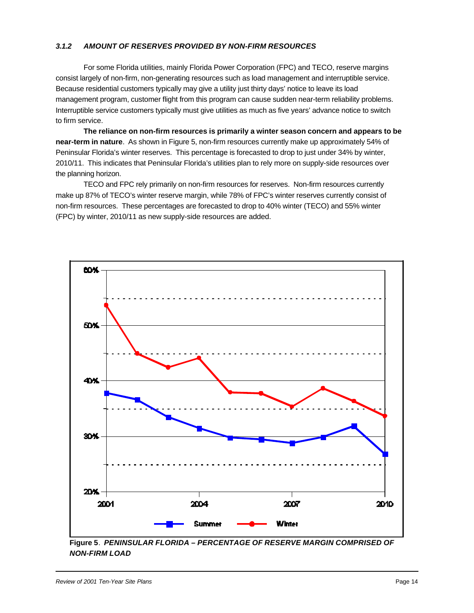#### *3.1.2 AMOUNT OF RESERVES PROVIDED BY NON-FIRM RESOURCES*

For some Florida utilities, mainly Florida Power Corporation (FPC) and TECO, reserve margins consist largely of non-firm, non-generating resources such as load management and interruptible service. Because residential customers typically may give a utility just thirty days' notice to leave its load management program, customer flight from this program can cause sudden near-term reliability problems. Interruptible service customers typically must give utilities as much as five years' advance notice to switch to firm service.

**The reliance on non-firm resources is primarily a winter season concern and appears to be near-term in nature**. As shown in Figure 5, non-firm resources currently make up approximately 54% of Peninsular Florida's winter reserves. This percentage is forecasted to drop to just under 34% by winter, 2010/11. This indicates that Peninsular Florida's utilities plan to rely more on supply-side resources over the planning horizon.

TECO and FPC rely primarily on non-firm resources for reserves. Non-firm resources currently make up 87% of TECO's winter reserve margin, while 78% of FPC's winter reserves currently consist of non-firm resources. These percentages are forecasted to drop to 40% winter (TECO) and 55% winter (FPC) by winter, 2010/11 as new supply-side resources are added.



**Figure 5**. *PENINSULAR FLORIDA – PERCENTAGE OF RESERVE MARGIN COMPRISED OF NON-FIRM LOAD*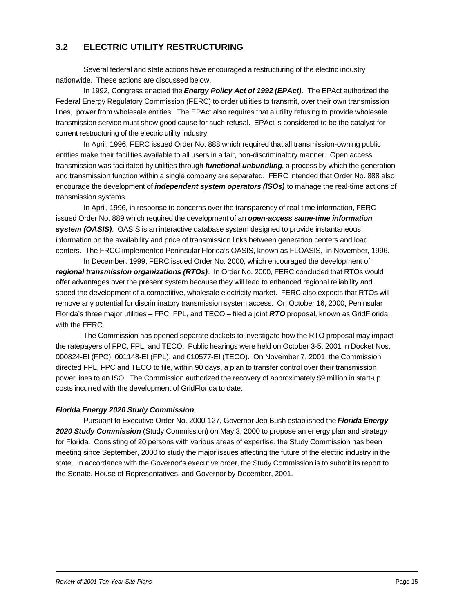# **3.2 ELECTRIC UTILITY RESTRUCTURING**

Several federal and state actions have encouraged a restructuring of the electric industry nationwide. These actions are discussed below.

In 1992, Congress enacted the *Energy Policy Act of 1992 (EPAct)*. The EPAct authorized the Federal Energy Regulatory Commission (FERC) to order utilities to transmit, over their own transmission lines, power from wholesale entities. The EPAct also requires that a utility refusing to provide wholesale transmission service must show good cause for such refusal. EPAct is considered to be the catalyst for current restructuring of the electric utility industry.

In April, 1996, FERC issued Order No. 888 which required that all transmission-owning public entities make their facilities available to all users in a fair, non-discriminatory manner. Open access transmission was facilitated by utilities through *functional unbundling*, a process by which the generation and transmission function within a single company are separated. FERC intended that Order No. 888 also encourage the development of *independent system operators (ISOs)* to manage the real-time actions of transmission systems.

In April, 1996, in response to concerns over the transparency of real-time information, FERC issued Order No. 889 which required the development of an *open-access same-time information system (OASIS)*. OASIS is an interactive database system designed to provide instantaneous information on the availability and price of transmission links between generation centers and load centers. The FRCC implemented Peninsular Florida's OASIS, known as FLOASIS, in November, 1996.

In December, 1999, FERC issued Order No. 2000, which encouraged the development of *regional transmission organizations (RTOs)*. In Order No. 2000, FERC concluded that RTOs would offer advantages over the present system because they will lead to enhanced regional reliability and speed the development of a competitive, wholesale electricity market. FERC also expects that RTOs will remove any potential for discriminatory transmission system access. On October 16, 2000, Peninsular Florida's three major utilities – FPC, FPL, and TECO – filed a joint *RTO* proposal, known as GridFlorida, with the FERC.

The Commission has opened separate dockets to investigate how the RTO proposal may impact the ratepayers of FPC, FPL, and TECO. Public hearings were held on October 3-5, 2001 in Docket Nos. 000824-EI (FPC), 001148-EI (FPL), and 010577-EI (TECO). On November 7, 2001, the Commission directed FPL, FPC and TECO to file, within 90 days, a plan to transfer control over their transmission power lines to an ISO. The Commission authorized the recovery of approximately \$9 million in start-up costs incurred with the development of GridFlorida to date.

#### *Florida Energy 2020 Study Commission*

Pursuant to Executive Order No. 2000-127, Governor Jeb Bush established the *Florida Energy 2020 Study Commission* (Study Commission) on May 3, 2000 to propose an energy plan and strategy for Florida. Consisting of 20 persons with various areas of expertise, the Study Commission has been meeting since September, 2000 to study the major issues affecting the future of the electric industry in the state. In accordance with the Governor's executive order, the Study Commission is to submit its report to the Senate, House of Representatives, and Governor by December, 2001.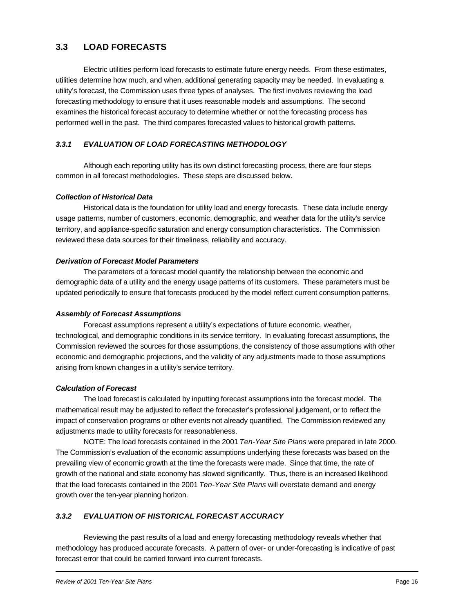# **3.3 LOAD FORECASTS**

Electric utilities perform load forecasts to estimate future energy needs. From these estimates, utilities determine how much, and when, additional generating capacity may be needed. In evaluating a utility's forecast, the Commission uses three types of analyses. The first involves reviewing the load forecasting methodology to ensure that it uses reasonable models and assumptions. The second examines the historical forecast accuracy to determine whether or not the forecasting process has performed well in the past. The third compares forecasted values to historical growth patterns.

#### *3.3.1 EVALUATION OF LOAD FORECASTING METHODOLOGY*

Although each reporting utility has its own distinct forecasting process, there are four steps common in all forecast methodologies. These steps are discussed below.

#### *Collection of Historical Data*

Historical data is the foundation for utility load and energy forecasts. These data include energy usage patterns, number of customers, economic, demographic, and weather data for the utility's service territory, and appliance-specific saturation and energy consumption characteristics. The Commission reviewed these data sources for their timeliness, reliability and accuracy.

#### *Derivation of Forecast Model Parameters*

The parameters of a forecast model quantify the relationship between the economic and demographic data of a utility and the energy usage patterns of its customers. These parameters must be updated periodically to ensure that forecasts produced by the model reflect current consumption patterns.

#### *Assembly of Forecast Assumptions*

Forecast assumptions represent a utility's expectations of future economic, weather, technological, and demographic conditions in its service territory. In evaluating forecast assumptions, the Commission reviewed the sources for those assumptions, the consistency of those assumptions with other economic and demographic projections, and the validity of any adjustments made to those assumptions arising from known changes in a utility's service territory.

#### *Calculation of Forecast*

The load forecast is calculated by inputting forecast assumptions into the forecast model. The mathematical result may be adjusted to reflect the forecaster's professional judgement, or to reflect the impact of conservation programs or other events not already quantified. The Commission reviewed any adjustments made to utility forecasts for reasonableness.

NOTE: The load forecasts contained in the 2001 *Ten-Year Site Plans* were prepared in late 2000. The Commission's evaluation of the economic assumptions underlying these forecasts was based on the prevailing view of economic growth at the time the forecasts were made. Since that time, the rate of growth of the national and state economy has slowed significantly. Thus, there is an increased likelihood that the load forecasts contained in the 2001 *Ten-Year Site Plans* will overstate demand and energy growth over the ten-year planning horizon.

#### *3.3.2 EVALUATION OF HISTORICAL FORECAST ACCURACY*

Reviewing the past results of a load and energy forecasting methodology reveals whether that methodology has produced accurate forecasts. A pattern of over- or under-forecasting is indicative of past forecast error that could be carried forward into current forecasts.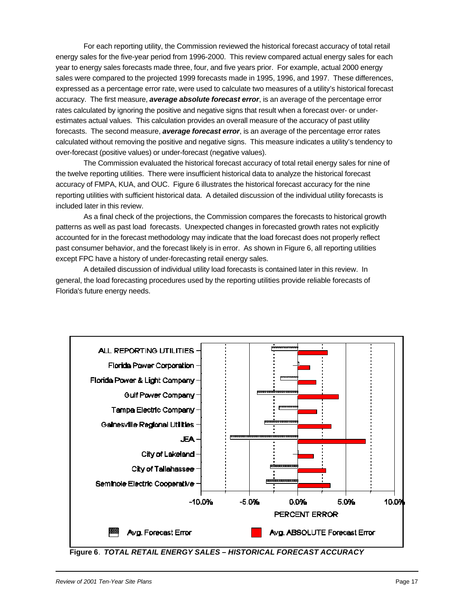For each reporting utility, the Commission reviewed the historical forecast accuracy of total retail energy sales for the five-year period from 1996-2000. This review compared actual energy sales for each year to energy sales forecasts made three, four, and five years prior. For example, actual 2000 energy sales were compared to the projected 1999 forecasts made in 1995, 1996, and 1997. These differences, expressed as a percentage error rate, were used to calculate two measures of a utility's historical forecast accuracy. The first measure, *average absolute forecast error*, is an average of the percentage error rates calculated by ignoring the positive and negative signs that result when a forecast over- or underestimates actual values. This calculation provides an overall measure of the accuracy of past utility forecasts. The second measure, *average forecast error*, is an average of the percentage error rates calculated without removing the positive and negative signs. This measure indicates a utility's tendency to over-forecast (positive values) or under-forecast (negative values).

The Commission evaluated the historical forecast accuracy of total retail energy sales for nine of the twelve reporting utilities. There were insufficient historical data to analyze the historical forecast accuracy of FMPA, KUA, and OUC. Figure 6 illustrates the historical forecast accuracy for the nine reporting utilities with sufficient historical data. A detailed discussion of the individual utility forecasts is included later in this review.

As a final check of the projections, the Commission compares the forecasts to historical growth patterns as well as past load forecasts. Unexpected changes in forecasted growth rates not explicitly accounted for in the forecast methodology may indicate that the load forecast does not properly reflect past consumer behavior, and the forecast likely is in error. As shown in Figure 6, all reporting utilities except FPC have a history of under-forecasting retail energy sales.

A detailed discussion of individual utility load forecasts is contained later in this review. In general, the load forecasting procedures used by the reporting utilities provide reliable forecasts of Florida's future energy needs.



**Figure 6**. *TOTAL RETAIL ENERGY SALES – HISTORICAL FORECAST ACCURACY*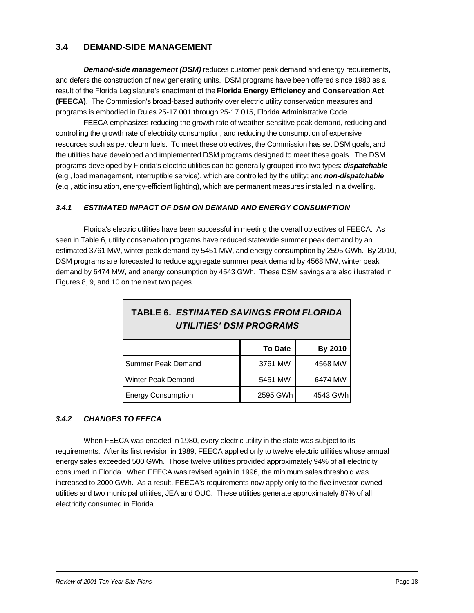### **3.4 DEMAND-SIDE MANAGEMENT**

**Demand-side management (DSM)** reduces customer peak demand and energy requirements, and defers the construction of new generating units. DSM programs have been offered since 1980 as a result of the Florida Legislature's enactment of the **Florida Energy Efficiency and Conservation Act (FEECA)**. The Commission's broad-based authority over electric utility conservation measures and programs is embodied in Rules 25-17.001 through 25-17.015, Florida Administrative Code.

FEECA emphasizes reducing the growth rate of weather-sensitive peak demand, reducing and controlling the growth rate of electricity consumption, and reducing the consumption of expensive resources such as petroleum fuels. To meet these objectives, the Commission has set DSM goals, and the utilities have developed and implemented DSM programs designed to meet these goals. The DSM programs developed by Florida's electric utilities can be generally grouped into two types: *dispatchable* (e.g., load management, interruptible service), which are controlled by the utility; and *non-dispatchable* (e.g., attic insulation, energy-efficient lighting), which are permanent measures installed in a dwelling.

#### *3.4.1 ESTIMATED IMPACT OF DSM ON DEMAND AND ENERGY CONSUMPTION*

Florida's electric utilities have been successful in meeting the overall objectives of FEECA. As seen in Table 6, utility conservation programs have reduced statewide summer peak demand by an estimated 3761 MW, winter peak demand by 5451 MW, and energy consumption by 2595 GWh. By 2010, DSM programs are forecasted to reduce aggregate summer peak demand by 4568 MW, winter peak demand by 6474 MW, and energy consumption by 4543 GWh. These DSM savings are also illustrated in Figures 8, 9, and 10 on the next two pages.

| <b>TABLE 6. ESTIMATED SAVINGS FROM FLORIDA</b><br><b>UTILITIES' DSM PROGRAMS</b> |                |         |  |  |  |
|----------------------------------------------------------------------------------|----------------|---------|--|--|--|
|                                                                                  | <b>To Date</b> | By 2010 |  |  |  |
| 3761 MW<br>4568 MW<br>Summer Peak Demand                                         |                |         |  |  |  |
| 5451 MW<br>6474 MW<br>Winter Peak Demand                                         |                |         |  |  |  |
| 2595 GWh<br><b>Energy Consumption</b><br>4543 GWh                                |                |         |  |  |  |

#### *3.4.2 CHANGES TO FEECA*

When FEECA was enacted in 1980, every electric utility in the state was subject to its requirements. After its first revision in 1989, FEECA applied only to twelve electric utilities whose annual energy sales exceeded 500 GWh. Those twelve utilities provided approximately 94% of all electricity consumed in Florida. When FEECA was revised again in 1996, the minimum sales threshold was increased to 2000 GWh. As a result, FEECA's requirements now apply only to the five investor-owned utilities and two municipal utilities, JEA and OUC. These utilities generate approximately 87% of all electricity consumed in Florida.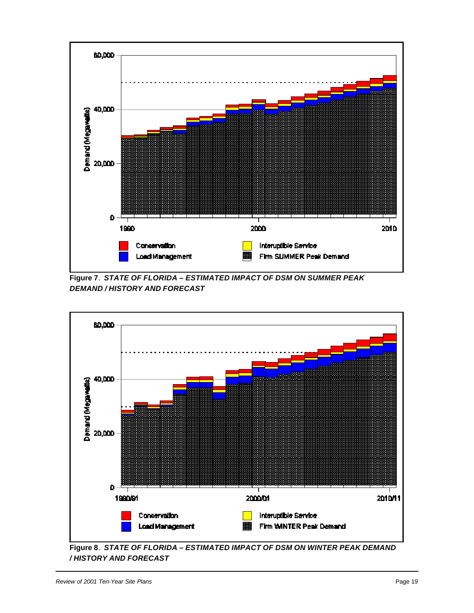

**Figure 7**. *STATE OF FLORIDA – ESTIMATED IMPACT OF DSM ON SUMMER PEAK DEMAND / HISTORY AND FORECAST*



**Figure 8**. *STATE OF FLORIDA – ESTIMATED IMPACT OF DSM ON WINTER PEAK DEMAND / HISTORY AND FORECAST*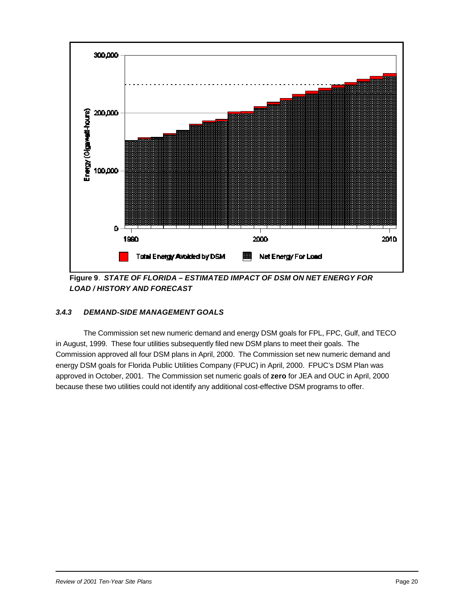

**Figure 9**. *STATE OF FLORIDA – ESTIMATED IMPACT OF DSM ON NET ENERGY FOR LOAD / HISTORY AND FORECAST*

### *3.4.3 DEMAND-SIDE MANAGEMENT GOALS*

The Commission set new numeric demand and energy DSM goals for FPL, FPC, Gulf, and TECO in August, 1999. These four utilities subsequently filed new DSM plans to meet their goals. The Commission approved all four DSM plans in April, 2000. The Commission set new numeric demand and energy DSM goals for Florida Public Utilities Company (FPUC) in April, 2000. FPUC's DSM Plan was approved in October, 2001. The Commission set numeric goals of **zero** for JEA and OUC in April, 2000 because these two utilities could not identify any additional cost-effective DSM programs to offer.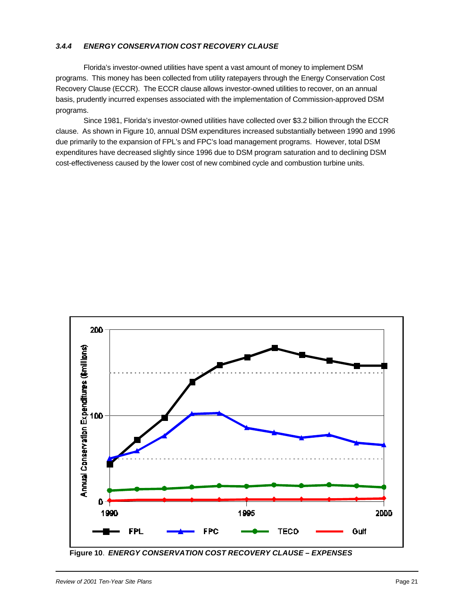#### *3.4.4 ENERGY CONSERVATION COST RECOVERY CLAUSE*

Florida's investor-owned utilities have spent a vast amount of money to implement DSM programs. This money has been collected from utility ratepayers through the Energy Conservation Cost Recovery Clause (ECCR). The ECCR clause allows investor-owned utilities to recover, on an annual basis, prudently incurred expenses associated with the implementation of Commission-approved DSM programs.

Since 1981, Florida's investor-owned utilities have collected over \$3.2 billion through the ECCR clause. As shown in Figure 10, annual DSM expenditures increased substantially between 1990 and 1996 due primarily to the expansion of FPL's and FPC's load management programs. However, total DSM expenditures have decreased slightly since 1996 due to DSM program saturation and to declining DSM cost-effectiveness caused by the lower cost of new combined cycle and combustion turbine units.



**Figure 10**. *ENERGY CONSERVATION COST RECOVERY CLAUSE – EXPENSES*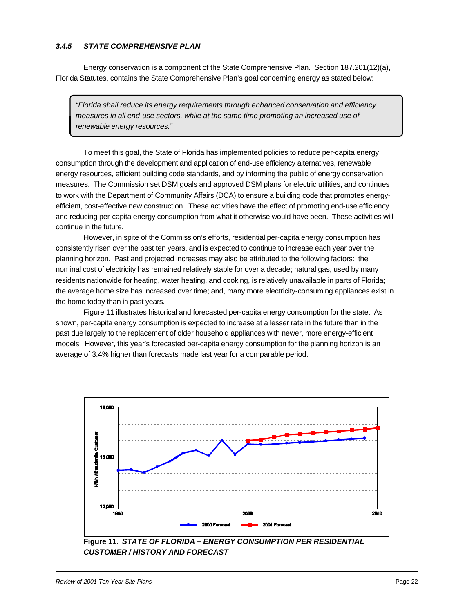#### *3.4.5 STATE COMPREHENSIVE PLAN*

Energy conservation is a component of the State Comprehensive Plan. Section 187.201(12)(a), Florida Statutes, contains the State Comprehensive Plan's goal concerning energy as stated below:

*"Florida shall reduce its energy requirements through enhanced conservation and efficiency measures in all end-use sectors, while at the same time promoting an increased use of renewable energy resources."*

To meet this goal, the State of Florida has implemented policies to reduce per-capita energy consumption through the development and application of end-use efficiency alternatives, renewable energy resources, efficient building code standards, and by informing the public of energy conservation measures. The Commission set DSM goals and approved DSM plans for electric utilities, and continues to work with the Department of Community Affairs (DCA) to ensure a building code that promotes energyefficient, cost-effective new construction. These activities have the effect of promoting end-use efficiency and reducing per-capita energy consumption from what it otherwise would have been. These activities will continue in the future.

However, in spite of the Commission's efforts, residential per-capita energy consumption has consistently risen over the past ten years, and is expected to continue to increase each year over the planning horizon. Past and projected increases may also be attributed to the following factors: the nominal cost of electricity has remained relatively stable for over a decade; natural gas, used by many residents nationwide for heating, water heating, and cooking, is relatively unavailable in parts of Florida; the average home size has increased over time; and, many more electricity-consuming appliances exist in the home today than in past years.

Figure 11 illustrates historical and forecasted per-capita energy consumption for the state. As shown, per-capita energy consumption is expected to increase at a lesser rate in the future than in the past due largely to the replacement of older household appliances with newer, more energy-efficient models. However, this year's forecasted per-capita energy consumption for the planning horizon is an average of 3.4% higher than forecasts made last year for a comparable period.



**Figure 11**. *STATE OF FLORIDA – ENERGY CONSUMPTION PER RESIDENTIAL CUSTOMER / HISTORY AND FORECAST*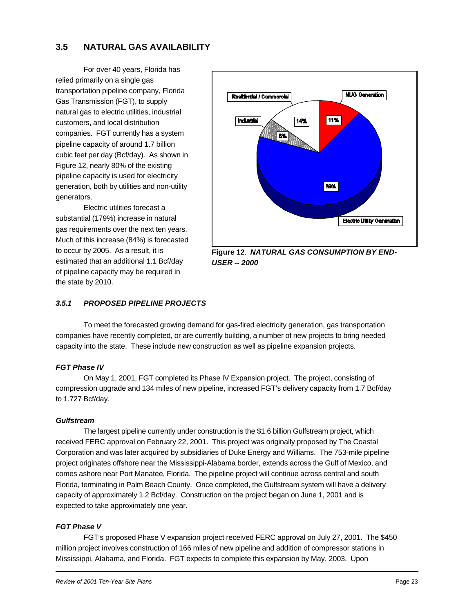# **3.5 NATURAL GAS AVAILABILITY**

For over 40 years, Florida has relied primarily on a single gas transportation pipeline company, Florida Gas Transmission (FGT), to supply natural gas to electric utilities, industrial customers, and local distribution companies. FGT currently has a system pipeline capacity of around 1.7 billion cubic feet per day (Bcf/day). As shown in Figure 12, nearly 80% of the existing pipeline capacity is used for electricity generation, both by utilities and non-utility generators.

Electric utilities forecast a substantial (179%) increase in natural gas requirements over the next ten years. Much of this increase (84%) is forecasted to occur by 2005. As a result, it is estimated that an additional 1.1 Bcf/day of pipeline capacity may be required in the state by 2010.



*USER -- 2000*

### *3.5.1 PROPOSED PIPELINE PROJECTS*

To meet the forecasted growing demand for gas-fired electricity generation, gas transportation companies have recently completed, or are currently building, a number of new projects to bring needed capacity into the state. These include new construction as well as pipeline expansion projects.

#### *FGT Phase IV*

On May 1, 2001, FGT completed its Phase IV Expansion project. The project, consisting of compression upgrade and 134 miles of new pipeline, increased FGT's delivery capacity from 1.7 Bcf/day to 1.727 Bcf/day.

#### *Gulfstream*

The largest pipeline currently under construction is the \$1.6 billion Gulfstream project, which received FERC approval on February 22, 2001. This project was originally proposed by The Coastal Corporation and was later acquired by subsidiaries of Duke Energy and Williams. The 753-mile pipeline project originates offshore near the Mississippi-Alabama border, extends across the Gulf of Mexico, and comes ashore near Port Manatee, Florida. The pipeline project will continue across central and south Florida, terminating in Palm Beach County. Once completed, the Gulfstream system will have a delivery capacity of approximately 1.2 Bcf/day. Construction on the project began on June 1, 2001 and is expected to take approximately one year.

#### *FGT Phase V*

FGT's proposed Phase V expansion project received FERC approval on July 27, 2001. The \$450 million project involves construction of 166 miles of new pipeline and addition of compressor stations in Mississippi, Alabama, and Florida. FGT expects to complete this expansion by May, 2003. Upon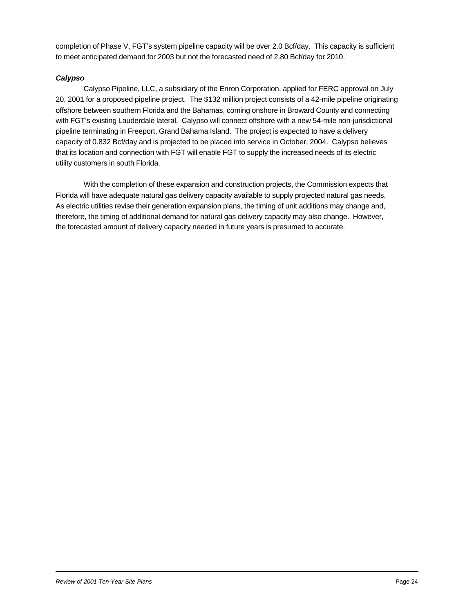completion of Phase V, FGT's system pipeline capacity will be over 2.0 Bcf/day. This capacity is sufficient to meet anticipated demand for 2003 but not the forecasted need of 2.80 Bcf/day for 2010.

#### *Calypso*

Calypso Pipeline, LLC, a subsidiary of the Enron Corporation, applied for FERC approval on July 20, 2001 for a proposed pipeline project. The \$132 million project consists of a 42-mile pipeline originating offshore between southern Florida and the Bahamas, coming onshore in Broward County and connecting with FGT's existing Lauderdale lateral. Calypso will connect offshore with a new 54-mile non-jurisdictional pipeline terminating in Freeport, Grand Bahama Island. The project is expected to have a delivery capacity of 0.832 Bcf/day and is projected to be placed into service in October, 2004. Calypso believes that its location and connection with FGT will enable FGT to supply the increased needs of its electric utility customers in south Florida.

With the completion of these expansion and construction projects, the Commission expects that Florida will have adequate natural gas delivery capacity available to supply projected natural gas needs. As electric utilities revise their generation expansion plans, the timing of unit additions may change and, therefore, the timing of additional demand for natural gas delivery capacity may also change. However, the forecasted amount of delivery capacity needed in future years is presumed to accurate.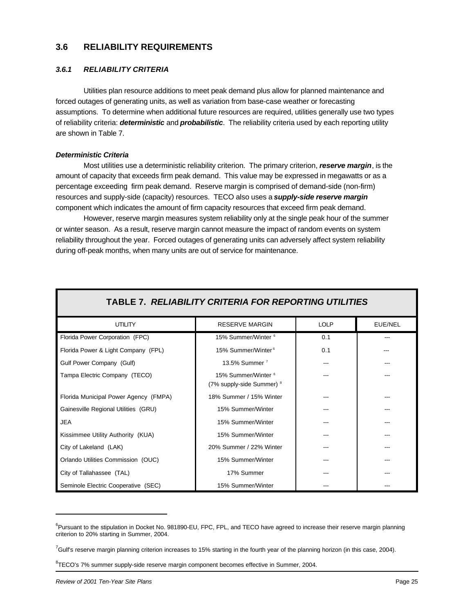### **3.6 RELIABILITY REQUIREMENTS**

#### *3.6.1 RELIABILITY CRITERIA*

Utilities plan resource additions to meet peak demand plus allow for planned maintenance and forced outages of generating units, as well as variation from base-case weather or forecasting assumptions. To determine when additional future resources are required, utilities generally use two types of reliability criteria: *deterministic* and *probabilistic*. The reliability criteria used by each reporting utility are shown in Table 7.

#### *Deterministic Criteria*

Most utilities use a deterministic reliability criterion. The primary criterion, *reserve margin*, is the amount of capacity that exceeds firm peak demand. This value may be expressed in megawatts or as a percentage exceeding firm peak demand. Reserve margin is comprised of demand-side (non-firm) resources and supply-side (capacity) resources. TECO also uses a *supply-side reserve margin* component which indicates the amount of firm capacity resources that exceed firm peak demand.

However, reserve margin measures system reliability only at the single peak hour of the summer or winter season. As a result, reserve margin cannot measure the impact of random events on system reliability throughout the year. Forced outages of generating units can adversely affect system reliability during off-peak months, when many units are out of service for maintenance.

| TABLE 7. RELIABILITY CRITERIA FOR REPORTING UTILITIES |                                                             |             |         |  |  |  |
|-------------------------------------------------------|-------------------------------------------------------------|-------------|---------|--|--|--|
| <b>UTILITY</b>                                        | <b>RESERVE MARGIN</b>                                       | <b>LOLP</b> | EUE/NEL |  |  |  |
| Florida Power Corporation (FPC)                       | 15% Summer/Winter <sup>6</sup>                              | 0.1         |         |  |  |  |
| Florida Power & Light Company (FPL)                   | 15% Summer/Winter <sup>6</sup>                              | 0.1         |         |  |  |  |
| Gulf Power Company (Gulf)                             | 13.5% Summer <sup>7</sup>                                   |             |         |  |  |  |
| Tampa Electric Company (TECO)                         | 15% Summer/Winter <sup>6</sup><br>(7% supply-side Summer) 8 |             |         |  |  |  |
| Florida Municipal Power Agency (FMPA)                 | 18% Summer / 15% Winter                                     |             |         |  |  |  |
| Gainesville Regional Utilities (GRU)                  | 15% Summer/Winter                                           |             |         |  |  |  |
| <b>JEA</b>                                            | 15% Summer/Winter                                           |             |         |  |  |  |
| Kissimmee Utility Authority (KUA)                     | 15% Summer/Winter                                           |             |         |  |  |  |
| City of Lakeland (LAK)                                | 20% Summer / 22% Winter                                     |             |         |  |  |  |
| Orlando Utilities Commission (OUC)                    | 15% Summer/Winter                                           |             |         |  |  |  |
| City of Tallahassee (TAL)                             | 17% Summer                                                  |             |         |  |  |  |
| Seminole Electric Cooperative (SEC)                   | 15% Summer/Winter                                           |             |         |  |  |  |

<sup>&</sup>lt;sup>6</sup>Pursuant to the stipulation in Docket No. 981890-EU, FPC, FPL, and TECO have agreed to increase their reserve margin planning criterion to 20% starting in Summer, 2004.

 $^7$ Gulf's reserve margin planning criterion increases to 15% starting in the fourth year of the planning horizon (in this case, 2004).

<sup>&</sup>lt;sup>8</sup>TECO's 7% summer supply-side reserve margin component becomes effective in Summer, 2004.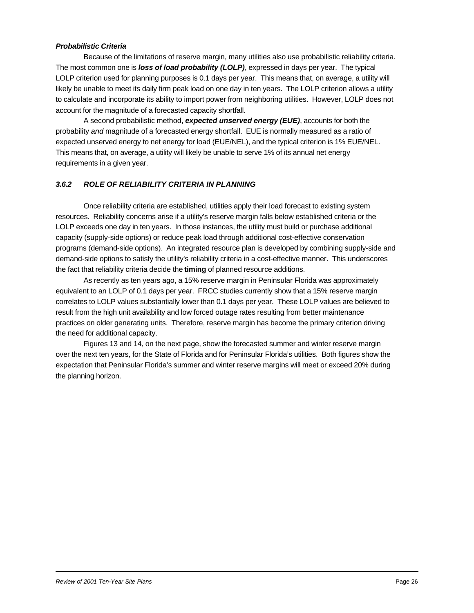#### *Probabilistic Criteria*

Because of the limitations of reserve margin, many utilities also use probabilistic reliability criteria. The most common one is *loss of load probability (LOLP)*, expressed in days per year. The typical LOLP criterion used for planning purposes is 0.1 days per year. This means that, on average, a utility will likely be unable to meet its daily firm peak load on one day in ten years. The LOLP criterion allows a utility to calculate and incorporate its ability to import power from neighboring utilities. However, LOLP does not account for the magnitude of a forecasted capacity shortfall.

A second probabilistic method, *expected unserved energy (EUE)*, accounts for both the probability *and* magnitude of a forecasted energy shortfall. EUE is normally measured as a ratio of expected unserved energy to net energy for load (EUE/NEL), and the typical criterion is 1% EUE/NEL. This means that, on average, a utility will likely be unable to serve 1% of its annual net energy requirements in a given year.

#### *3.6.2 ROLE OF RELIABILITY CRITERIA IN PLANNING*

Once reliability criteria are established, utilities apply their load forecast to existing system resources. Reliability concerns arise if a utility's reserve margin falls below established criteria or the LOLP exceeds one day in ten years. In those instances, the utility must build or purchase additional capacity (supply-side options) or reduce peak load through additional cost-effective conservation programs (demand-side options). An integrated resource plan is developed by combining supply-side and demand-side options to satisfy the utility's reliability criteria in a cost-effective manner. This underscores the fact that reliability criteria decide the **timing** of planned resource additions.

As recently as ten years ago, a 15% reserve margin in Peninsular Florida was approximately equivalent to an LOLP of 0.1 days per year. FRCC studies currently show that a 15% reserve margin correlates to LOLP values substantially lower than 0.1 days per year. These LOLP values are believed to result from the high unit availability and low forced outage rates resulting from better maintenance practices on older generating units. Therefore, reserve margin has become the primary criterion driving the need for additional capacity.

Figures 13 and 14, on the next page, show the forecasted summer and winter reserve margin over the next ten years, for the State of Florida and for Peninsular Florida's utilities. Both figures show the expectation that Peninsular Florida's summer and winter reserve margins will meet or exceed 20% during the planning horizon.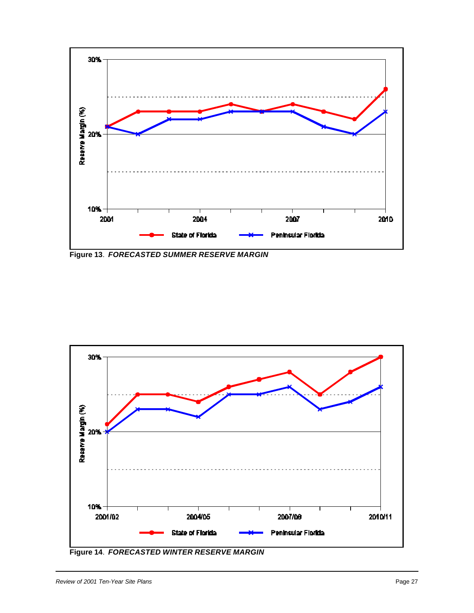

**Figure 13**. *FORECASTED SUMMER RESERVE MARGIN*



**Figure 14**. *FORECASTED WINTER RESERVE MARGIN*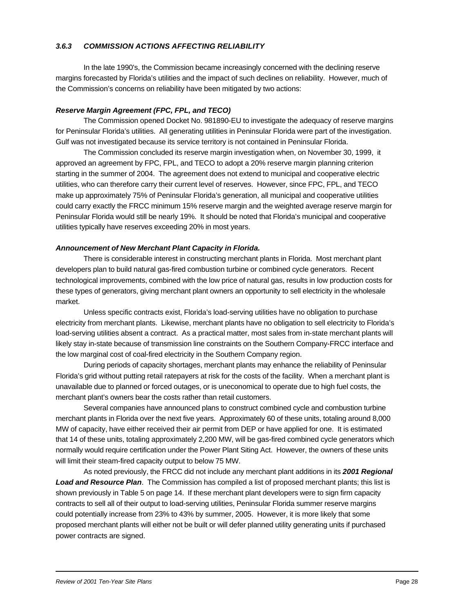#### *3.6.3 COMMISSION ACTIONS AFFECTING RELIABILITY*

In the late 1990's, the Commission became increasingly concerned with the declining reserve margins forecasted by Florida's utilities and the impact of such declines on reliability. However, much of the Commission's concerns on reliability have been mitigated by two actions:

#### *Reserve Margin Agreement (FPC, FPL, and TECO)*

The Commission opened Docket No. 981890-EU to investigate the adequacy of reserve margins for Peninsular Florida's utilities. All generating utilities in Peninsular Florida were part of the investigation. Gulf was not investigated because its service territory is not contained in Peninsular Florida.

The Commission concluded its reserve margin investigation when, on November 30, 1999, it approved an agreement by FPC, FPL, and TECO to adopt a 20% reserve margin planning criterion starting in the summer of 2004. The agreement does not extend to municipal and cooperative electric utilities, who can therefore carry their current level of reserves. However, since FPC, FPL, and TECO make up approximately 75% of Peninsular Florida's generation, all municipal and cooperative utilities could carry exactly the FRCC minimum 15% reserve margin and the weighted average reserve margin for Peninsular Florida would still be nearly 19%. It should be noted that Florida's municipal and cooperative utilities typically have reserves exceeding 20% in most years.

#### *Announcement of New Merchant Plant Capacity in Florida.*

There is considerable interest in constructing merchant plants in Florida. Most merchant plant developers plan to build natural gas-fired combustion turbine or combined cycle generators. Recent technological improvements, combined with the low price of natural gas, results in low production costs for these types of generators, giving merchant plant owners an opportunity to sell electricity in the wholesale market.

Unless specific contracts exist, Florida's load-serving utilities have no obligation to purchase electricity from merchant plants. Likewise, merchant plants have no obligation to sell electricity to Florida's load-serving utilities absent a contract. As a practical matter, most sales from in-state merchant plants will likely stay in-state because of transmission line constraints on the Southern Company-FRCC interface and the low marginal cost of coal-fired electricity in the Southern Company region.

During periods of capacity shortages, merchant plants may enhance the reliability of Peninsular Florida's grid without putting retail ratepayers at risk for the costs of the facility. When a merchant plant is unavailable due to planned or forced outages, or is uneconomical to operate due to high fuel costs, the merchant plant's owners bear the costs rather than retail customers.

Several companies have announced plans to construct combined cycle and combustion turbine merchant plants in Florida over the next five years. Approximately 60 of these units, totaling around 8,000 MW of capacity, have either received their air permit from DEP or have applied for one. It is estimated that 14 of these units, totaling approximately 2,200 MW, will be gas-fired combined cycle generators which normally would require certification under the Power Plant Siting Act. However, the owners of these units will limit their steam-fired capacity output to below 75 MW.

As noted previously, the FRCC did not include any merchant plant additions in its *2001 Regional Load and Resource Plan*. The Commission has compiled a list of proposed merchant plants; this list is shown previously in Table 5 on page 14. If these merchant plant developers were to sign firm capacity contracts to sell all of their output to load-serving utilities, Peninsular Florida summer reserve margins could potentially increase from 23% to 43% by summer, 2005. However, it is more likely that some proposed merchant plants will either not be built or will defer planned utility generating units if purchased power contracts are signed.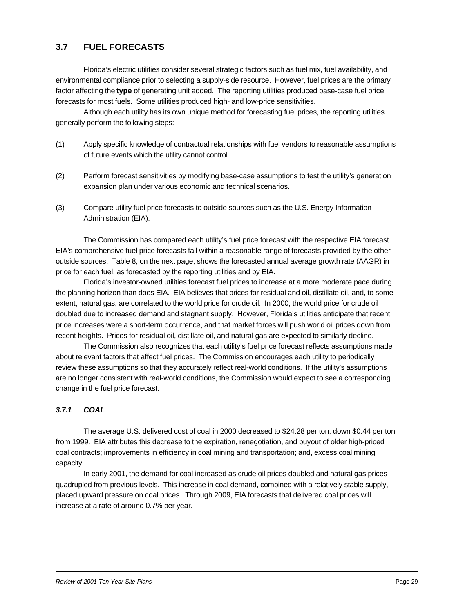# **3.7 FUEL FORECASTS**

Florida's electric utilities consider several strategic factors such as fuel mix, fuel availability, and environmental compliance prior to selecting a supply-side resource. However, fuel prices are the primary factor affecting the **type** of generating unit added. The reporting utilities produced base-case fuel price forecasts for most fuels. Some utilities produced high- and low-price sensitivities.

Although each utility has its own unique method for forecasting fuel prices, the reporting utilities generally perform the following steps:

- (1) Apply specific knowledge of contractual relationships with fuel vendors to reasonable assumptions of future events which the utility cannot control.
- (2) Perform forecast sensitivities by modifying base-case assumptions to test the utility's generation expansion plan under various economic and technical scenarios.
- (3) Compare utility fuel price forecasts to outside sources such as the U.S. Energy Information Administration (EIA).

The Commission has compared each utility's fuel price forecast with the respective EIA forecast. EIA's comprehensive fuel price forecasts fall within a reasonable range of forecasts provided by the other outside sources. Table 8, on the next page, shows the forecasted annual average growth rate (AAGR) in price for each fuel, as forecasted by the reporting utilities and by EIA.

Florida's investor-owned utilities forecast fuel prices to increase at a more moderate pace during the planning horizon than does EIA. EIA believes that prices for residual and oil, distillate oil, and, to some extent, natural gas, are correlated to the world price for crude oil. In 2000, the world price for crude oil doubled due to increased demand and stagnant supply. However, Florida's utilities anticipate that recent price increases were a short-term occurrence, and that market forces will push world oil prices down from recent heights. Prices for residual oil, distillate oil, and natural gas are expected to similarly decline.

The Commission also recognizes that each utility's fuel price forecast reflects assumptions made about relevant factors that affect fuel prices. The Commission encourages each utility to periodically review these assumptions so that they accurately reflect real-world conditions. If the utility's assumptions are no longer consistent with real-world conditions, the Commission would expect to see a corresponding change in the fuel price forecast.

#### *3.7.1 COAL*

The average U.S. delivered cost of coal in 2000 decreased to \$24.28 per ton, down \$0.44 per ton from 1999. EIA attributes this decrease to the expiration, renegotiation, and buyout of older high-priced coal contracts; improvements in efficiency in coal mining and transportation; and, excess coal mining capacity.

In early 2001, the demand for coal increased as crude oil prices doubled and natural gas prices quadrupled from previous levels. This increase in coal demand, combined with a relatively stable supply, placed upward pressure on coal prices. Through 2009, EIA forecasts that delivered coal prices will increase at a rate of around 0.7% per year.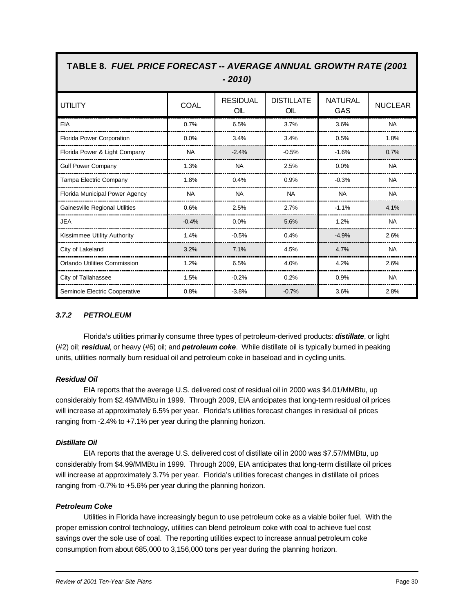| IABLE 6. <i>FUEL PRICE FURECASI -- AVERAGE ANNUAL GROW IN RATE (2001</i><br>$-2010$ |             |                        |                          |                              |                |  |  |
|-------------------------------------------------------------------------------------|-------------|------------------------|--------------------------|------------------------------|----------------|--|--|
| <b>UTILITY</b>                                                                      | <b>COAL</b> | <b>RESIDUAL</b><br>OIL | <b>DISTILLATE</b><br>OIL | <b>NATURAL</b><br><b>GAS</b> | <b>NUCLEAR</b> |  |  |
| EIA                                                                                 | 0.7%        | 6.5%                   | 3.7%                     | 3.6%                         | <b>NA</b>      |  |  |
| <b>Florida Power Corporation</b>                                                    | 0.0%        | 3.4%                   | 3.4%                     | 0.5%                         | 1.8%           |  |  |
| Florida Power & Light Company                                                       | <b>NA</b>   | $-2.4%$                | $-0.5%$                  | $-1.6%$                      | 0.7%           |  |  |
| <b>Gulf Power Company</b>                                                           | 1.3%        | <b>NA</b>              | 2.5%                     | 0.0%                         | <b>NA</b>      |  |  |
| Tampa Electric Company                                                              | 1.8%        | 0.4%                   | 0.9%                     | $-0.3%$                      | <b>NA</b>      |  |  |
| Florida Municipal Power Agency                                                      | <b>NA</b>   | <b>NA</b>              | <b>NA</b>                | <b>NA</b>                    | <b>NA</b>      |  |  |
| <b>Gainesville Regional Utilities</b>                                               | 0.6%        | 2.5%                   | 2.7%                     | $-1.1%$                      | 4.1%           |  |  |
| <b>JEA</b>                                                                          | $-0.4%$     | 0.0%                   | 5.6%                     | 1.2%                         | <b>NA</b>      |  |  |
| Kissimmee Utility Authority                                                         | 1.4%        | $-0.5%$                | 0.4%                     | $-4.9%$                      | 2.6%           |  |  |
| City of Lakeland                                                                    | 3.2%        | 7.1%                   | 4.5%                     | 4.7%                         | <b>NA</b>      |  |  |
| <b>Orlando Utilities Commission</b>                                                 | 1.2%        | 6.5%                   | 4.0%                     | 4.2%                         | 2.6%           |  |  |
| City of Tallahassee                                                                 | 1.5%        | $-0.2%$                | 0.2%                     | 0.9%                         | <b>NA</b>      |  |  |
| Seminole Electric Cooperative                                                       | 0.8%        | $-3.8%$                | $-0.7%$                  | 3.6%                         | 2.8%           |  |  |

# **TABLE 8.** *FUEL PRICE FORECAST -- AVERAGE ANNUAL GROWTH RATE (2001*

#### *3.7.2 PETROLEUM*

Florida's utilities primarily consume three types of petroleum-derived products: *distillate*, or light (#2) oil; *residual*, or heavy (#6) oil; and *petroleum coke*. While distillate oil is typically burned in peaking units, utilities normally burn residual oil and petroleum coke in baseload and in cycling units.

#### *Residual Oil*

EIA reports that the average U.S. delivered cost of residual oil in 2000 was \$4.01/MMBtu, up considerably from \$2.49/MMBtu in 1999. Through 2009, EIA anticipates that long-term residual oil prices will increase at approximately 6.5% per year. Florida's utilities forecast changes in residual oil prices ranging from -2.4% to +7.1% per year during the planning horizon.

#### *Distillate Oil*

EIA reports that the average U.S. delivered cost of distillate oil in 2000 was \$7.57/MMBtu, up considerably from \$4.99/MMBtu in 1999. Through 2009, EIA anticipates that long-term distillate oil prices will increase at approximately 3.7% per year. Florida's utilities forecast changes in distillate oil prices ranging from -0.7% to +5.6% per year during the planning horizon.

#### *Petroleum Coke*

Utilities in Florida have increasingly begun to use petroleum coke as a viable boiler fuel. With the proper emission control technology, utilities can blend petroleum coke with coal to achieve fuel cost savings over the sole use of coal. The reporting utilities expect to increase annual petroleum coke consumption from about 685,000 to 3,156,000 tons per year during the planning horizon.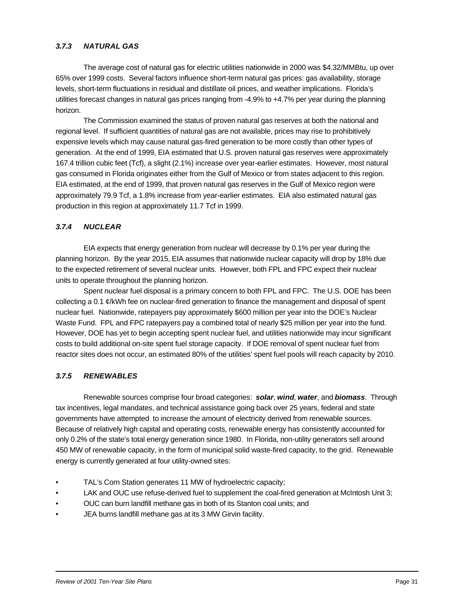#### *3.7.3 NATURAL GAS*

The average cost of natural gas for electric utilities nationwide in 2000 was \$4.32/MMBtu, up over 65% over 1999 costs. Several factors influence short-term natural gas prices: gas availability, storage levels, short-term fluctuations in residual and distillate oil prices, and weather implications. Florida's utilities forecast changes in natural gas prices ranging from -4.9% to +4.7% per year during the planning horizon.

The Commission examined the status of proven natural gas reserves at both the national and regional level. If sufficient quantities of natural gas are not available, prices may rise to prohibitively expensive levels which may cause natural gas-fired generation to be more costly than other types of generation. At the end of 1999, EIA estimated that U.S. proven natural gas reserves were approximately 167.4 trillion cubic feet (Tcf), a slight (2.1%) increase over year-earlier estimates. However, most natural gas consumed in Florida originates either from the Gulf of Mexico or from states adjacent to this region. EIA estimated, at the end of 1999, that proven natural gas reserves in the Gulf of Mexico region were approximately 79.9 Tcf, a 1.8% increase from year-earlier estimates. EIA also estimated natural gas production in this region at approximately 11.7 Tcf in 1999.

#### *3.7.4 NUCLEAR*

EIA expects that energy generation from nuclear will decrease by 0.1% per year during the planning horizon. By the year 2015, EIA assumes that nationwide nuclear capacity will drop by 18% due to the expected retirement of several nuclear units. However, both FPL and FPC expect their nuclear units to operate throughout the planning horizon.

Spent nuclear fuel disposal is a primary concern to both FPL and FPC. The U.S. DOE has been collecting a 0.1  $\mathcal{C}/k$ Wh fee on nuclear-fired generation to finance the management and disposal of spent nuclear fuel. Nationwide, ratepayers pay approximately \$600 million per year into the DOE's Nuclear Waste Fund. FPL and FPC ratepayers pay a combined total of nearly \$25 million per year into the fund. However, DOE has yet to begin accepting spent nuclear fuel, and utilities nationwide may incur significant costs to build additional on-site spent fuel storage capacity. If DOE removal of spent nuclear fuel from reactor sites does not occur, an estimated 80% of the utilities' spent fuel pools will reach capacity by 2010.

#### *3.7.5 RENEWABLES*

Renewable sources comprise four broad categories: *solar*, *wind*, *water*, and *biomass*. Through tax incentives, legal mandates, and technical assistance going back over 25 years, federal and state governments have attempted to increase the amount of electricity derived from renewable sources. Because of relatively high capital and operating costs, renewable energy has consistently accounted for only 0.2% of the state's total energy generation since 1980. In Florida, non-utility generators sell around 450 MW of renewable capacity, in the form of municipal solid waste-fired capacity, to the grid. Renewable energy is currently generated at four utility-owned sites:

- TAL's Corn Station generates 11 MW of hydroelectric capacity;
- LAK and OUC use refuse-derived fuel to supplement the coal-fired generation at McIntosh Unit 3;
- OUC can burn landfill methane gas in both of its Stanton coal units; and
- JEA burns landfill methane gas at its 3 MW Girvin facility.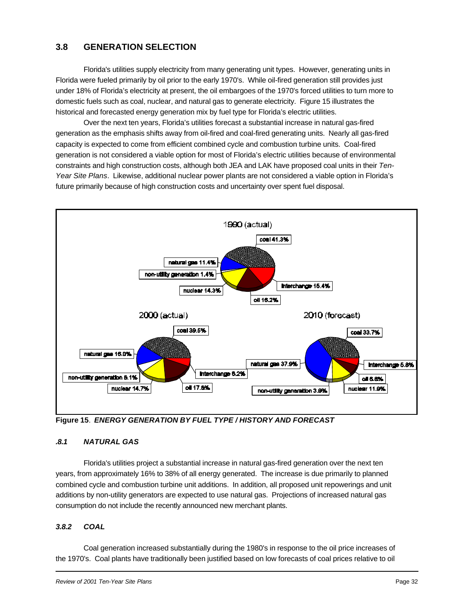# **3.8 GENERATION SELECTION**

Florida's utilities supply electricity from many generating unit types. However, generating units in Florida were fueled primarily by oil prior to the early 1970's. While oil-fired generation still provides just under 18% of Florida's electricity at present, the oil embargoes of the 1970's forced utilities to turn more to domestic fuels such as coal, nuclear, and natural gas to generate electricity. Figure 15 illustrates the historical and forecasted energy generation mix by fuel type for Florida's electric utilities.

Over the next ten years, Florida's utilities forecast a substantial increase in natural gas-fired generation as the emphasis shifts away from oil-fired and coal-fired generating units. Nearly all gas-fired capacity is expected to come from efficient combined cycle and combustion turbine units. Coal-fired generation is not considered a viable option for most of Florida's electric utilities because of environmental constraints and high construction costs, although both JEA and LAK have proposed coal units in their *Ten-Year Site Plans*. Likewise, additional nuclear power plants are not considered a viable option in Florida's future primarily because of high construction costs and uncertainty over spent fuel disposal.



**Figure 15**. *ENERGY GENERATION BY FUEL TYPE / HISTORY AND FORECAST*

#### *.8.1 NATURAL GAS*

Florida's utilities project a substantial increase in natural gas-fired generation over the next ten years, from approximately 16% to 38% of all energy generated. The increase is due primarily to planned combined cycle and combustion turbine unit additions. In addition, all proposed unit repowerings and unit additions by non-utility generators are expected to use natural gas. Projections of increased natural gas consumption do not include the recently announced new merchant plants.

#### *3.8.2 COAL*

Coal generation increased substantially during the 1980's in response to the oil price increases of the 1970's. Coal plants have traditionally been justified based on low forecasts of coal prices relative to oil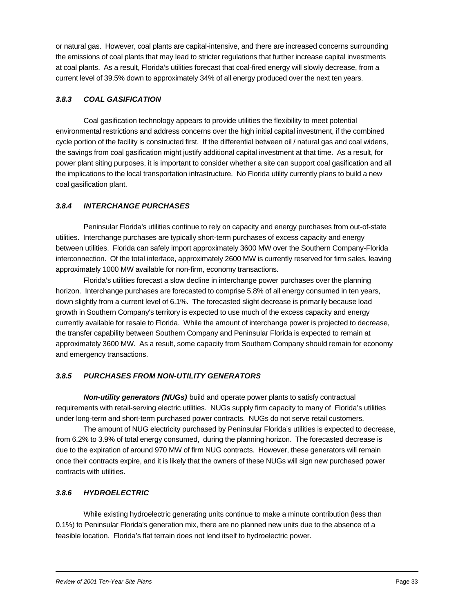or natural gas. However, coal plants are capital-intensive, and there are increased concerns surrounding the emissions of coal plants that may lead to stricter regulations that further increase capital investments at coal plants. As a result, Florida's utilities forecast that coal-fired energy will slowly decrease, from a current level of 39.5% down to approximately 34% of all energy produced over the next ten years.

#### *3.8.3 COAL GASIFICATION*

Coal gasification technology appears to provide utilities the flexibility to meet potential environmental restrictions and address concerns over the high initial capital investment, if the combined cycle portion of the facility is constructed first. If the differential between oil / natural gas and coal widens, the savings from coal gasification might justify additional capital investment at that time. As a result, for power plant siting purposes, it is important to consider whether a site can support coal gasification and all the implications to the local transportation infrastructure. No Florida utility currently plans to build a new coal gasification plant.

#### *3.8.4 INTERCHANGE PURCHASES*

Peninsular Florida's utilities continue to rely on capacity and energy purchases from out-of-state utilities. Interchange purchases are typically short-term purchases of excess capacity and energy between utilities. Florida can safely import approximately 3600 MW over the Southern Company-Florida interconnection. Of the total interface, approximately 2600 MW is currently reserved for firm sales, leaving approximately 1000 MW available for non-firm, economy transactions.

Florida's utilities forecast a slow decline in interchange power purchases over the planning horizon. Interchange purchases are forecasted to comprise 5.8% of all energy consumed in ten years, down slightly from a current level of 6.1%. The forecasted slight decrease is primarily because load growth in Southern Company's territory is expected to use much of the excess capacity and energy currently available for resale to Florida. While the amount of interchange power is projected to decrease, the transfer capability between Southern Company and Peninsular Florida is expected to remain at approximately 3600 MW. As a result, some capacity from Southern Company should remain for economy and emergency transactions.

### *3.8.5 PURCHASES FROM NON-UTILITY GENERATORS*

*Non-utility generators (NUGs)* build and operate power plants to satisfy contractual requirements with retail-serving electric utilities. NUGs supply firm capacity to many of Florida's utilities under long-term and short-term purchased power contracts. NUGs do not serve retail customers.

The amount of NUG electricity purchased by Peninsular Florida's utilities is expected to decrease, from 6.2% to 3.9% of total energy consumed, during the planning horizon. The forecasted decrease is due to the expiration of around 970 MW of firm NUG contracts. However, these generators will remain once their contracts expire, and it is likely that the owners of these NUGs will sign new purchased power contracts with utilities.

#### *3.8.6 HYDROELECTRIC*

While existing hydroelectric generating units continue to make a minute contribution (less than 0.1%) to Peninsular Florida's generation mix, there are no planned new units due to the absence of a feasible location. Florida's flat terrain does not lend itself to hydroelectric power.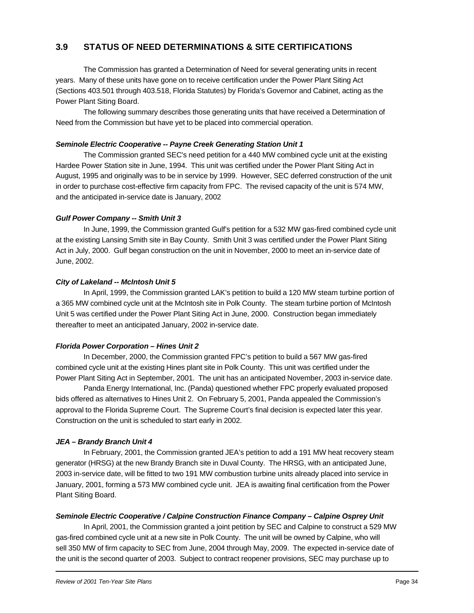# **3.9 STATUS OF NEED DETERMINATIONS & SITE CERTIFICATIONS**

The Commission has granted a Determination of Need for several generating units in recent years. Many of these units have gone on to receive certification under the Power Plant Siting Act (Sections 403.501 through 403.518, Florida Statutes) by Florida's Governor and Cabinet, acting as the Power Plant Siting Board.

The following summary describes those generating units that have received a Determination of Need from the Commission but have yet to be placed into commercial operation.

#### *Seminole Electric Cooperative -- Payne Creek Generating Station Unit 1*

The Commission granted SEC's need petition for a 440 MW combined cycle unit at the existing Hardee Power Station site in June, 1994. This unit was certified under the Power Plant Siting Act in August, 1995 and originally was to be in service by 1999. However, SEC deferred construction of the unit in order to purchase cost-effective firm capacity from FPC. The revised capacity of the unit is 574 MW, and the anticipated in-service date is January, 2002

#### *Gulf Power Company -- Smith Unit 3*

In June, 1999, the Commission granted Gulf's petition for a 532 MW gas-fired combined cycle unit at the existing Lansing Smith site in Bay County. Smith Unit 3 was certified under the Power Plant Siting Act in July, 2000. Gulf began construction on the unit in November, 2000 to meet an in-service date of June, 2002.

#### *City of Lakeland -- McIntosh Unit 5*

In April, 1999, the Commission granted LAK's petition to build a 120 MW steam turbine portion of a 365 MW combined cycle unit at the McIntosh site in Polk County. The steam turbine portion of McIntosh Unit 5 was certified under the Power Plant Siting Act in June, 2000. Construction began immediately thereafter to meet an anticipated January, 2002 in-service date.

#### *Florida Power Corporation – Hines Unit 2*

In December, 2000, the Commission granted FPC's petition to build a 567 MW gas-fired combined cycle unit at the existing Hines plant site in Polk County. This unit was certified under the Power Plant Siting Act in September, 2001. The unit has an anticipated November, 2003 in-service date.

Panda Energy International, Inc. (Panda) questioned whether FPC properly evaluated proposed bids offered as alternatives to Hines Unit 2. On February 5, 2001, Panda appealed the Commission's approval to the Florida Supreme Court. The Supreme Court's final decision is expected later this year. Construction on the unit is scheduled to start early in 2002.

#### *JEA – Brandy Branch Unit 4*

In February, 2001, the Commission granted JEA's petition to add a 191 MW heat recovery steam generator (HRSG) at the new Brandy Branch site in Duval County. The HRSG, with an anticipated June, 2003 in-service date, will be fitted to two 191 MW combustion turbine units already placed into service in January, 2001, forming a 573 MW combined cycle unit. JEA is awaiting final certification from the Power Plant Siting Board.

#### *Seminole Electric Cooperative / Calpine Construction Finance Company – Calpine Osprey Unit*

In April, 2001, the Commission granted a joint petition by SEC and Calpine to construct a 529 MW gas-fired combined cycle unit at a new site in Polk County. The unit will be owned by Calpine, who will sell 350 MW of firm capacity to SEC from June, 2004 through May, 2009. The expected in-service date of the unit is the second quarter of 2003. Subject to contract reopener provisions, SEC may purchase up to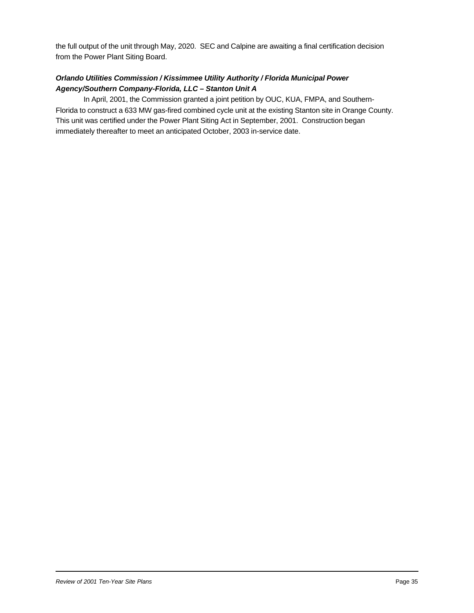the full output of the unit through May, 2020. SEC and Calpine are awaiting a final certification decision from the Power Plant Siting Board.

#### *Orlando Utilities Commission / Kissimmee Utility Authority / Florida Municipal Power Agency/Southern Company-Florida, LLC – Stanton Unit A*

In April, 2001, the Commission granted a joint petition by OUC, KUA, FMPA, and Southern-Florida to construct a 633 MW gas-fired combined cycle unit at the existing Stanton site in Orange County. This unit was certified under the Power Plant Siting Act in September, 2001. Construction began immediately thereafter to meet an anticipated October, 2003 in-service date.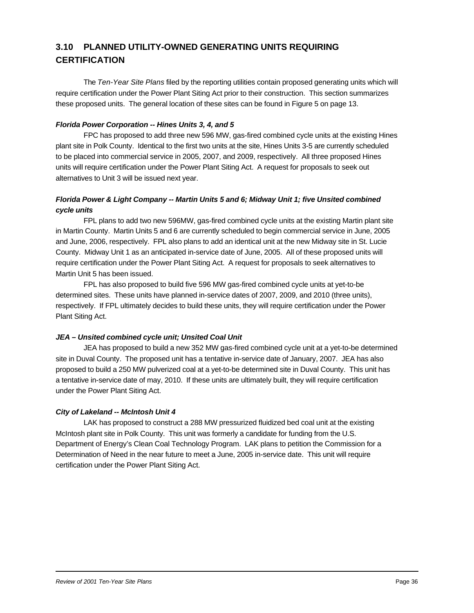# **3.10 PLANNED UTILITY-OWNED GENERATING UNITS REQUIRING CERTIFICATION**

The *Ten-Year Site Plans* filed by the reporting utilities contain proposed generating units which will require certification under the Power Plant Siting Act prior to their construction. This section summarizes these proposed units. The general location of these sites can be found in Figure 5 on page 13.

#### *Florida Power Corporation -- Hines Units 3, 4, and 5*

FPC has proposed to add three new 596 MW, gas-fired combined cycle units at the existing Hines plant site in Polk County. Identical to the first two units at the site, Hines Units 3-5 are currently scheduled to be placed into commercial service in 2005, 2007, and 2009, respectively. All three proposed Hines units will require certification under the Power Plant Siting Act. A request for proposals to seek out alternatives to Unit 3 will be issued next year.

#### *Florida Power & Light Company -- Martin Units 5 and 6; Midway Unit 1; five Unsited combined cycle units*

FPL plans to add two new 596MW, gas-fired combined cycle units at the existing Martin plant site in Martin County. Martin Units 5 and 6 are currently scheduled to begin commercial service in June, 2005 and June, 2006, respectively. FPL also plans to add an identical unit at the new Midway site in St. Lucie County. Midway Unit 1 as an anticipated in-service date of June, 2005. All of these proposed units will require certification under the Power Plant Siting Act. A request for proposals to seek alternatives to Martin Unit 5 has been issued.

FPL has also proposed to build five 596 MW gas-fired combined cycle units at yet-to-be determined sites. These units have planned in-service dates of 2007, 2009, and 2010 (three units), respectively. If FPL ultimately decides to build these units, they will require certification under the Power Plant Siting Act.

#### *JEA – Unsited combined cycle unit; Unsited Coal Unit*

JEA has proposed to build a new 352 MW gas-fired combined cycle unit at a yet-to-be determined site in Duval County. The proposed unit has a tentative in-service date of January, 2007. JEA has also proposed to build a 250 MW pulverized coal at a yet-to-be determined site in Duval County. This unit has a tentative in-service date of may, 2010. If these units are ultimately built, they will require certification under the Power Plant Siting Act.

#### *City of Lakeland -- McIntosh Unit 4*

LAK has proposed to construct a 288 MW pressurized fluidized bed coal unit at the existing McIntosh plant site in Polk County. This unit was formerly a candidate for funding from the U.S. Department of Energy's Clean Coal Technology Program. LAK plans to petition the Commission for a Determination of Need in the near future to meet a June, 2005 in-service date. This unit will require certification under the Power Plant Siting Act.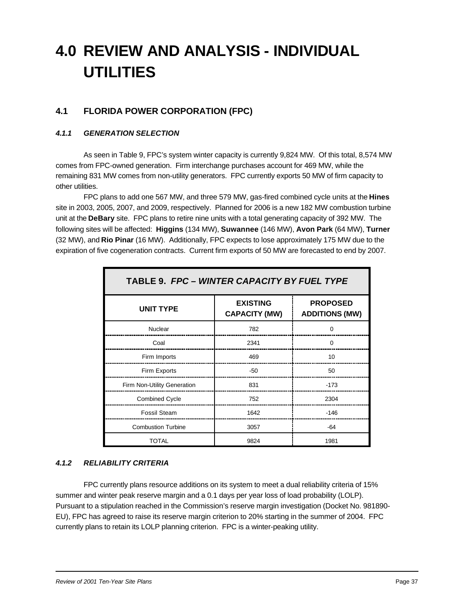# **4.0 REVIEW AND ANALYSIS - INDIVIDUAL UTILITIES**

# **4.1 FLORIDA POWER CORPORATION (FPC)**

#### *4.1.1 GENERATION SELECTION*

As seen in Table 9, FPC's system winter capacity is currently 9,824 MW. Of this total, 8,574 MW comes from FPC-owned generation. Firm interchange purchases account for 469 MW, while the remaining 831 MW comes from non-utility generators. FPC currently exports 50 MW of firm capacity to other utilities.

FPC plans to add one 567 MW, and three 579 MW, gas-fired combined cycle units at the **Hines** site in 2003, 2005, 2007, and 2009, respectively. Planned for 2006 is a new 182 MW combustion turbine unit at the **DeBary** site. FPC plans to retire nine units with a total generating capacity of 392 MW. The following sites will be affected: **Higgins** (134 MW), **Suwannee** (146 MW), **Avon Park** (64 MW), **Turner** (32 MW), and **Rio Pinar** (16 MW). Additionally, FPC expects to lose approximately 175 MW due to the expiration of five cogeneration contracts. Current firm exports of 50 MW are forecasted to end by 2007.

| TABLE 9. FPC - WINTER CAPACITY BY FUEL TYPE |                                         |                                          |  |  |  |  |
|---------------------------------------------|-----------------------------------------|------------------------------------------|--|--|--|--|
| <b>UNIT TYPE</b>                            | <b>EXISTING</b><br><b>CAPACITY (MW)</b> | <b>PROPOSED</b><br><b>ADDITIONS (MW)</b> |  |  |  |  |
| Nuclear                                     | 782                                     | $\Omega$                                 |  |  |  |  |
| Coal                                        | 2341                                    | <sup>0</sup>                             |  |  |  |  |
| Firm Imports                                | 469                                     | 10                                       |  |  |  |  |
| Firm Exports                                | $-50$                                   | 50                                       |  |  |  |  |
| Firm Non-Utility Generation                 | 831                                     | $-173$                                   |  |  |  |  |
| <b>Combined Cycle</b>                       | 752                                     | 2304                                     |  |  |  |  |
| <b>Fossil Steam</b>                         | 1642                                    | $-146$                                   |  |  |  |  |
| <b>Combustion Turbine</b>                   | 3057                                    | $-64$                                    |  |  |  |  |
| TOTAL                                       | 9824                                    | 1981                                     |  |  |  |  |

#### *4.1.2 RELIABILITY CRITERIA*

FPC currently plans resource additions on its system to meet a dual reliability criteria of 15% summer and winter peak reserve margin and a 0.1 days per year loss of load probability (LOLP). Pursuant to a stipulation reached in the Commission's reserve margin investigation (Docket No. 981890- EU), FPC has agreed to raise its reserve margin criterion to 20% starting in the summer of 2004. FPC currently plans to retain its LOLP planning criterion. FPC is a winter-peaking utility.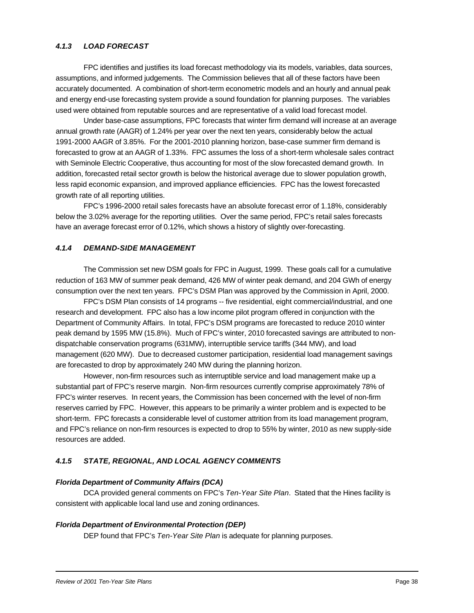#### *4.1.3 LOAD FORECAST*

FPC identifies and justifies its load forecast methodology via its models, variables, data sources, assumptions, and informed judgements. The Commission believes that all of these factors have been accurately documented. A combination of short-term econometric models and an hourly and annual peak and energy end-use forecasting system provide a sound foundation for planning purposes. The variables used were obtained from reputable sources and are representative of a valid load forecast model.

Under base-case assumptions, FPC forecasts that winter firm demand will increase at an average annual growth rate (AAGR) of 1.24% per year over the next ten years, considerably below the actual 1991-2000 AAGR of 3.85%. For the 2001-2010 planning horizon, base-case summer firm demand is forecasted to grow at an AAGR of 1.33%. FPC assumes the loss of a short-term wholesale sales contract with Seminole Electric Cooperative, thus accounting for most of the slow forecasted demand growth. In addition, forecasted retail sector growth is below the historical average due to slower population growth, less rapid economic expansion, and improved appliance efficiencies. FPC has the lowest forecasted growth rate of all reporting utilities.

FPC's 1996-2000 retail sales forecasts have an absolute forecast error of 1.18%, considerably below the 3.02% average for the reporting utilities. Over the same period, FPC's retail sales forecasts have an average forecast error of 0.12%, which shows a history of slightly over-forecasting.

#### *4.1.4 DEMAND-SIDE MANAGEMENT*

The Commission set new DSM goals for FPC in August, 1999. These goals call for a cumulative reduction of 163 MW of summer peak demand, 426 MW of winter peak demand, and 204 GWh of energy consumption over the next ten years. FPC's DSM Plan was approved by the Commission in April, 2000.

FPC's DSM Plan consists of 14 programs -- five residential, eight commercial/industrial, and one research and development. FPC also has a low income pilot program offered in conjunction with the Department of Community Affairs. In total, FPC's DSM programs are forecasted to reduce 2010 winter peak demand by 1595 MW (15.8%). Much of FPC's winter, 2010 forecasted savings are attributed to nondispatchable conservation programs (631MW), interruptible service tariffs (344 MW), and load management (620 MW). Due to decreased customer participation, residential load management savings are forecasted to drop by approximately 240 MW during the planning horizon.

However, non-firm resources such as interruptible service and load management make up a substantial part of FPC's reserve margin. Non-firm resources currently comprise approximately 78% of FPC's winter reserves. In recent years, the Commission has been concerned with the level of non-firm reserves carried by FPC. However, this appears to be primarily a winter problem and is expected to be short-term. FPC forecasts a considerable level of customer attrition from its load management program, and FPC's reliance on non-firm resources is expected to drop to 55% by winter, 2010 as new supply-side resources are added.

#### *4.1.5 STATE, REGIONAL, AND LOCAL AGENCY COMMENTS*

#### *Florida Department of Community Affairs (DCA)*

DCA provided general comments on FPC's *Ten-Year Site Plan*. Stated that the Hines facility is consistent with applicable local land use and zoning ordinances.

#### *Florida Department of Environmental Protection (DEP)*

DEP found that FPC's *Ten-Year Site Plan* is adequate for planning purposes.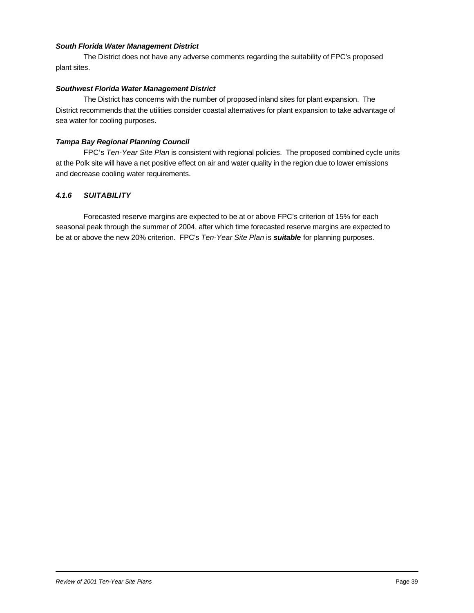#### *South Florida Water Management District*

The District does not have any adverse comments regarding the suitability of FPC's proposed plant sites.

#### *Southwest Florida Water Management District*

The District has concerns with the number of proposed inland sites for plant expansion. The District recommends that the utilities consider coastal alternatives for plant expansion to take advantage of sea water for cooling purposes.

#### *Tampa Bay Regional Planning Council*

FPC's *Ten-Year Site Plan* is consistent with regional policies. The proposed combined cycle units at the Polk site will have a net positive effect on air and water quality in the region due to lower emissions and decrease cooling water requirements.

#### *4.1.6 SUITABILITY*

Forecasted reserve margins are expected to be at or above FPC's criterion of 15% for each seasonal peak through the summer of 2004, after which time forecasted reserve margins are expected to be at or above the new 20% criterion. FPC's *Ten-Year Site Plan* is *suitable* for planning purposes.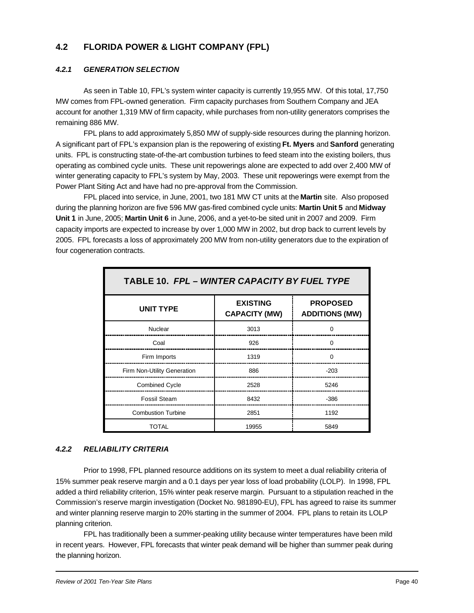# **4.2 FLORIDA POWER & LIGHT COMPANY (FPL)**

#### *4.2.1 GENERATION SELECTION*

As seen in Table 10, FPL's system winter capacity is currently 19,955 MW. Of this total, 17,750 MW comes from FPL-owned generation. Firm capacity purchases from Southern Company and JEA account for another 1,319 MW of firm capacity, while purchases from non-utility generators comprises the remaining 886 MW.

FPL plans to add approximately 5,850 MW of supply-side resources during the planning horizon. A significant part of FPL's expansion plan is the repowering of existing **Ft. Myers** and **Sanford** generating units. FPL is constructing state-of-the-art combustion turbines to feed steam into the existing boilers, thus operating as combined cycle units. These unit repowerings alone are expected to add over 2,400 MW of winter generating capacity to FPL's system by May, 2003. These unit repowerings were exempt from the Power Plant Siting Act and have had no pre-approval from the Commission.

FPL placed into service, in June, 2001, two 181 MW CT units at the **Martin** site. Also proposed during the planning horizon are five 596 MW gas-fired combined cycle units: **Martin Unit 5** and **Midway Unit 1** in June, 2005; **Martin Unit 6** in June, 2006, and a yet-to-be sited unit in 2007 and 2009. Firm capacity imports are expected to increase by over 1,000 MW in 2002, but drop back to current levels by 2005. FPL forecasts a loss of approximately 200 MW from non-utility generators due to the expiration of four cogeneration contracts.

| TABLE 10. FPL - WINTER CAPACITY BY FUEL TYPE |                                         |                                          |  |
|----------------------------------------------|-----------------------------------------|------------------------------------------|--|
| <b>UNIT TYPE</b>                             | <b>EXISTING</b><br><b>CAPACITY (MW)</b> | <b>PROPOSED</b><br><b>ADDITIONS (MW)</b> |  |
| Nuclear                                      | 3013                                    |                                          |  |
| Coal                                         | 926                                     | 0                                        |  |
| Firm Imports                                 | 1319                                    | $\Omega$                                 |  |
| Firm Non-Utility Generation                  | 886                                     | $-203$                                   |  |
| <b>Combined Cycle</b>                        | 2528                                    | 5246                                     |  |
| <b>Fossil Steam</b>                          | 8432                                    | $-386$                                   |  |
| <b>Combustion Turbine</b>                    | 2851                                    | 1192                                     |  |
| TOTAL                                        | 19955                                   | 5849                                     |  |

#### *4.2.2 RELIABILITY CRITERIA*

Prior to 1998, FPL planned resource additions on its system to meet a dual reliability criteria of 15% summer peak reserve margin and a 0.1 days per year loss of load probability (LOLP). In 1998, FPL added a third reliability criterion, 15% winter peak reserve margin. Pursuant to a stipulation reached in the Commission's reserve margin investigation (Docket No. 981890-EU), FPL has agreed to raise its summer and winter planning reserve margin to 20% starting in the summer of 2004. FPL plans to retain its LOLP planning criterion.

FPL has traditionally been a summer-peaking utility because winter temperatures have been mild in recent years. However, FPL forecasts that winter peak demand will be higher than summer peak during the planning horizon.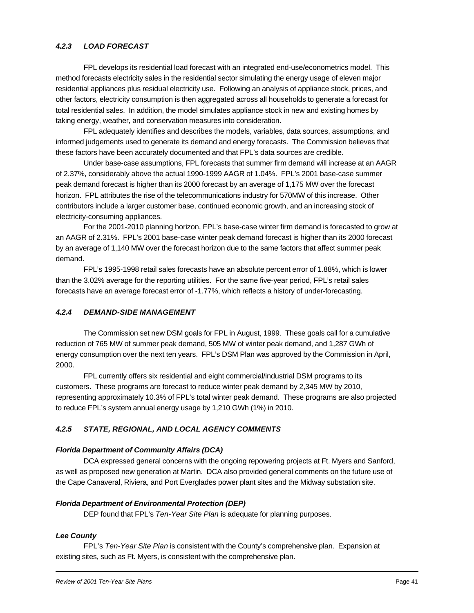#### *4.2.3 LOAD FORECAST*

FPL develops its residential load forecast with an integrated end-use/econometrics model. This method forecasts electricity sales in the residential sector simulating the energy usage of eleven major residential appliances plus residual electricity use. Following an analysis of appliance stock, prices, and other factors, electricity consumption is then aggregated across all households to generate a forecast for total residential sales. In addition, the model simulates appliance stock in new and existing homes by taking energy, weather, and conservation measures into consideration.

FPL adequately identifies and describes the models, variables, data sources, assumptions, and informed judgements used to generate its demand and energy forecasts. The Commission believes that these factors have been accurately documented and that FPL's data sources are credible.

Under base-case assumptions, FPL forecasts that summer firm demand will increase at an AAGR of 2.37%, considerably above the actual 1990-1999 AAGR of 1.04%. FPL's 2001 base-case summer peak demand forecast is higher than its 2000 forecast by an average of 1,175 MW over the forecast horizon. FPL attributes the rise of the telecommunications industry for 570MW of this increase. Other contributors include a larger customer base, continued economic growth, and an increasing stock of electricity-consuming appliances.

For the 2001-2010 planning horizon, FPL's base-case winter firm demand is forecasted to grow at an AAGR of 2.31%. FPL's 2001 base-case winter peak demand forecast is higher than its 2000 forecast by an average of 1,140 MW over the forecast horizon due to the same factors that affect summer peak demand.

FPL's 1995-1998 retail sales forecasts have an absolute percent error of 1.88%, which is lower than the 3.02% average for the reporting utilities. For the same five-year period, FPL's retail sales forecasts have an average forecast error of -1.77%, which reflects a history of under-forecasting.

#### *4.2.4 DEMAND-SIDE MANAGEMENT*

The Commission set new DSM goals for FPL in August, 1999. These goals call for a cumulative reduction of 765 MW of summer peak demand, 505 MW of winter peak demand, and 1,287 GWh of energy consumption over the next ten years. FPL's DSM Plan was approved by the Commission in April, 2000.

FPL currently offers six residential and eight commercial/industrial DSM programs to its customers. These programs are forecast to reduce winter peak demand by 2,345 MW by 2010, representing approximately 10.3% of FPL's total winter peak demand. These programs are also projected to reduce FPL's system annual energy usage by 1,210 GWh (1%) in 2010.

#### *4.2.5 STATE, REGIONAL, AND LOCAL AGENCY COMMENTS*

#### *Florida Department of Community Affairs (DCA)*

DCA expressed general concerns with the ongoing repowering projects at Ft. Myers and Sanford, as well as proposed new generation at Martin. DCA also provided general comments on the future use of the Cape Canaveral, Riviera, and Port Everglades power plant sites and the Midway substation site.

#### *Florida Department of Environmental Protection (DEP)*

DEP found that FPL's *Ten-Year Site Plan* is adequate for planning purposes.

#### *Lee County*

FPL's *Ten-Year Site Plan* is consistent with the County's comprehensive plan. Expansion at existing sites, such as Ft. Myers, is consistent with the comprehensive plan.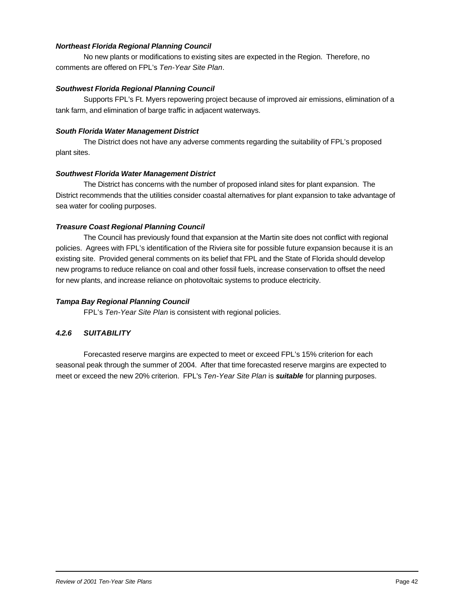#### *Northeast Florida Regional Planning Council*

No new plants or modifications to existing sites are expected in the Region. Therefore, no comments are offered on FPL's *Ten-Year Site Plan*.

#### *Southwest Florida Regional Planning Council*

Supports FPL's Ft. Myers repowering project because of improved air emissions, elimination of a tank farm, and elimination of barge traffic in adjacent waterways.

#### *South Florida Water Management District*

The District does not have any adverse comments regarding the suitability of FPL's proposed plant sites.

#### *Southwest Florida Water Management District*

The District has concerns with the number of proposed inland sites for plant expansion. The District recommends that the utilities consider coastal alternatives for plant expansion to take advantage of sea water for cooling purposes.

#### *Treasure Coast Regional Planning Council*

The Council has previously found that expansion at the Martin site does not conflict with regional policies. Agrees with FPL's identification of the Riviera site for possible future expansion because it is an existing site. Provided general comments on its belief that FPL and the State of Florida should develop new programs to reduce reliance on coal and other fossil fuels, increase conservation to offset the need for new plants, and increase reliance on photovoltaic systems to produce electricity.

#### *Tampa Bay Regional Planning Council*

FPL's *Ten-Year Site Plan* is consistent with regional policies.

#### *4.2.6 SUITABILITY*

Forecasted reserve margins are expected to meet or exceed FPL's 15% criterion for each seasonal peak through the summer of 2004. After that time forecasted reserve margins are expected to meet or exceed the new 20% criterion. FPL's *Ten-Year Site Plan* is *suitable* for planning purposes.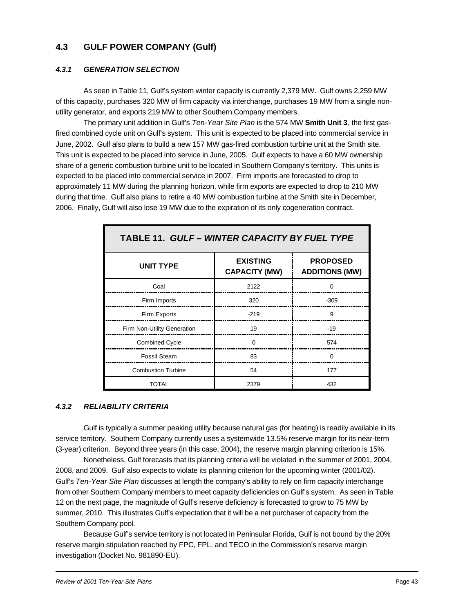### **4.3 GULF POWER COMPANY (Gulf)**

#### *4.3.1 GENERATION SELECTION*

As seen in Table 11, Gulf's system winter capacity is currently 2,379 MW. Gulf owns 2,259 MW of this capacity, purchases 320 MW of firm capacity via interchange, purchases 19 MW from a single nonutility generator, and exports 219 MW to other Southern Company members.

The primary unit addition in Gulf's *Ten-Year Site Plan* is the 574 MW **Smith Unit 3**, the first gasfired combined cycle unit on Gulf's system. This unit is expected to be placed into commercial service in June, 2002. Gulf also plans to build a new 157 MW gas-fired combustion turbine unit at the Smith site. This unit is expected to be placed into service in June, 2005. Gulf expects to have a 60 MW ownership share of a generic combustion turbine unit to be located in Southern Company's territory. This units is expected to be placed into commercial service in 2007. Firm imports are forecasted to drop to approximately 11 MW during the planning horizon, while firm exports are expected to drop to 210 MW during that time. Gulf also plans to retire a 40 MW combustion turbine at the Smith site in December, 2006. Finally, Gulf will also lose 19 MW due to the expiration of its only cogeneration contract.

| TABLE 11. GULF - WINTER CAPACITY BY FUEL TYPE |                                         |                                          |
|-----------------------------------------------|-----------------------------------------|------------------------------------------|
| <b>UNIT TYPE</b>                              | <b>EXISTING</b><br><b>CAPACITY (MW)</b> | <b>PROPOSED</b><br><b>ADDITIONS (MW)</b> |
| Coal                                          | 2122                                    |                                          |
| Firm Imports                                  | 320                                     | $-309$                                   |
| Firm Exports                                  | $-219$                                  | 9                                        |
| Firm Non-Utility Generation                   | 19                                      | $-19$                                    |
| <b>Combined Cycle</b>                         | ŋ                                       | 574                                      |
| Fossil Steam                                  | 83                                      | ∩                                        |
| <b>Combustion Turbine</b>                     | 54                                      | 177                                      |
| TOTAL                                         | 2379                                    | 432                                      |

#### *4.3.2 RELIABILITY CRITERIA*

Gulf is typically a summer peaking utility because natural gas (for heating) is readily available in its service territory. Southern Company currently uses a systemwide 13.5% reserve margin for its near-term (3-year) criterion. Beyond three years (in this case, 2004), the reserve margin planning criterion is 15%.

Nonetheless, Gulf forecasts that its planning criteria will be violated in the summer of 2001, 2004, 2008, and 2009. Gulf also expects to violate its planning criterion for the upcoming winter (2001/02). Gulf's *Ten-Year Site Plan* discusses at length the company's ability to rely on firm capacity interchange from other Southern Company members to meet capacity deficiencies on Gulf's system. As seen in Table 12 on the next page, the magnitude of Gulf's reserve deficiency is forecasted to grow to 75 MW by summer, 2010. This illustrates Gulf's expectation that it will be a net purchaser of capacity from the Southern Company pool.

Because Gulf's service territory is not located in Peninsular Florida, Gulf is not bound by the 20% reserve margin stipulation reached by FPC, FPL, and TECO in the Commission's reserve margin investigation (Docket No. 981890-EU).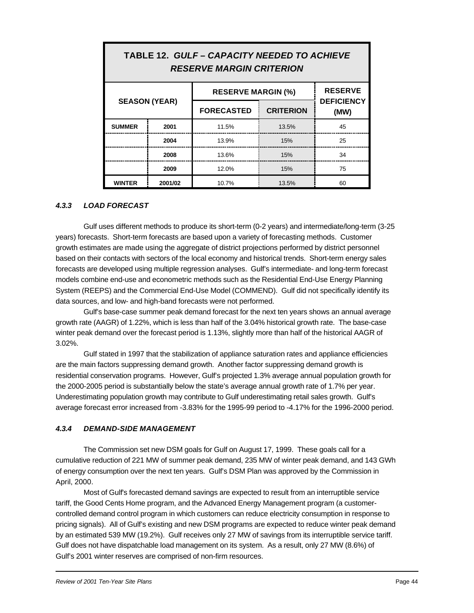| IABLE 12. GULF – CAPACII Y NEEDED TO ACHIEVE<br><b>RESERVE MARGIN CRITERION</b> |                      |                                                                    |       |    |
|---------------------------------------------------------------------------------|----------------------|--------------------------------------------------------------------|-------|----|
| <b>RESERVE</b><br><b>RESERVE MARGIN (%)</b>                                     |                      |                                                                    |       |    |
|                                                                                 | <b>SEASON (YEAR)</b> | <b>DEFICIENCY</b><br><b>CRITERION</b><br><b>FORECASTED</b><br>(MW) |       |    |
| <b>SUMMER</b>                                                                   | 2001                 | 11.5%                                                              | 13.5% | 45 |
|                                                                                 | 2004                 | 13.9%                                                              | 15%   | 25 |
|                                                                                 | 2008                 | 13.6%                                                              | 15%   | 34 |
|                                                                                 | 2009                 | 12.0%                                                              | 15%   | 75 |
| <b>WINTER</b>                                                                   | 2001/02              | 10.7%                                                              | 13.5% | 60 |

# **TABLE 12.** *GULF – CAPACITY NEEDED TO ACHIEVE*

#### *4.3.3 LOAD FORECAST*

Gulf uses different methods to produce its short-term (0-2 years) and intermediate/long-term (3-25 years) forecasts. Short-term forecasts are based upon a variety of forecasting methods. Customer growth estimates are made using the aggregate of district projections performed by district personnel based on their contacts with sectors of the local economy and historical trends. Short-term energy sales forecasts are developed using multiple regression analyses. Gulf's intermediate- and long-term forecast models combine end-use and econometric methods such as the Residential End-Use Energy Planning System (REEPS) and the Commercial End-Use Model (COMMEND). Gulf did not specifically identify its data sources, and low- and high-band forecasts were not performed.

Gulf's base-case summer peak demand forecast for the next ten years shows an annual average growth rate (AAGR) of 1.22%, which is less than half of the 3.04% historical growth rate. The base-case winter peak demand over the forecast period is 1.13%, slightly more than half of the historical AAGR of 3.02%.

Gulf stated in 1997 that the stabilization of appliance saturation rates and appliance efficiencies are the main factors suppressing demand growth. Another factor suppressing demand growth is residential conservation programs. However, Gulf's projected 1.3% average annual population growth for the 2000-2005 period is substantially below the state's average annual growth rate of 1.7% per year. Underestimating population growth may contribute to Gulf underestimating retail sales growth. Gulf's average forecast error increased from -3.83% for the 1995-99 period to -4.17% for the 1996-2000 period.

#### *4.3.4 DEMAND-SIDE MANAGEMENT*

The Commission set new DSM goals for Gulf on August 17, 1999. These goals call for a cumulative reduction of 221 MW of summer peak demand, 235 MW of winter peak demand, and 143 GWh of energy consumption over the next ten years. Gulf's DSM Plan was approved by the Commission in April, 2000.

Most of Gulf's forecasted demand savings are expected to result from an interruptible service tariff, the Good Cents Home program, and the Advanced Energy Management program (a customercontrolled demand control program in which customers can reduce electricity consumption in response to pricing signals). All of Gulf's existing and new DSM programs are expected to reduce winter peak demand by an estimated 539 MW (19.2%). Gulf receives only 27 MW of savings from its interruptible service tariff. Gulf does not have dispatchable load management on its system. As a result, only 27 MW (8.6%) of Gulf's 2001 winter reserves are comprised of non-firm resources.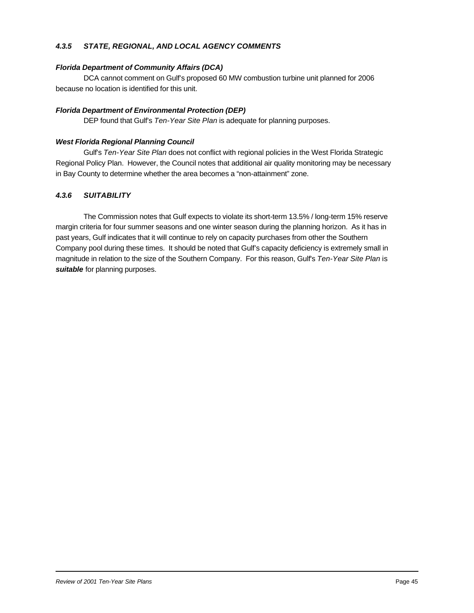#### *4.3.5 STATE, REGIONAL, AND LOCAL AGENCY COMMENTS*

#### *Florida Department of Community Affairs (DCA)*

DCA cannot comment on Gulf's proposed 60 MW combustion turbine unit planned for 2006 because no location is identified for this unit.

#### *Florida Department of Environmental Protection (DEP)*

DEP found that Gulf's *Ten-Year Site Plan* is adequate for planning purposes.

#### *West Florida Regional Planning Council*

Gulf's *Ten-Year Site Plan* does not conflict with regional policies in the West Florida Strategic Regional Policy Plan. However, the Council notes that additional air quality monitoring may be necessary in Bay County to determine whether the area becomes a "non-attainment" zone.

#### *4.3.6 SUITABILITY*

The Commission notes that Gulf expects to violate its short-term 13.5% / long-term 15% reserve margin criteria for four summer seasons and one winter season during the planning horizon. As it has in past years, Gulf indicates that it will continue to rely on capacity purchases from other the Southern Company pool during these times. It should be noted that Gulf's capacity deficiency is extremely small in magnitude in relation to the size of the Southern Company. For this reason, Gulf's *Ten-Year Site Plan* is *suitable* for planning purposes.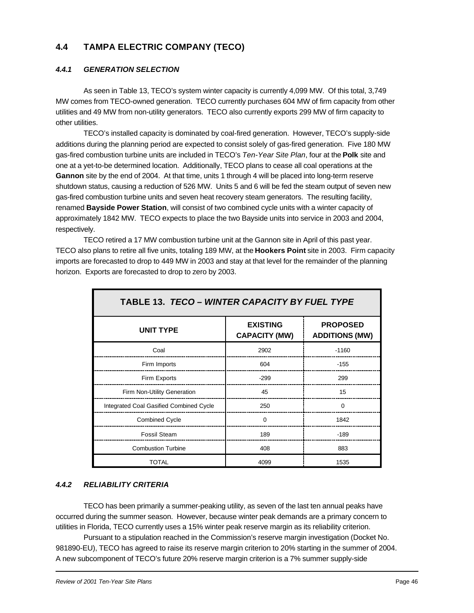# **4.4 TAMPA ELECTRIC COMPANY (TECO)**

#### *4.4.1 GENERATION SELECTION*

As seen in Table 13, TECO's system winter capacity is currently 4,099 MW. Of this total, 3,749 MW comes from TECO-owned generation. TECO currently purchases 604 MW of firm capacity from other utilities and 49 MW from non-utility generators. TECO also currently exports 299 MW of firm capacity to other utilities.

TECO's installed capacity is dominated by coal-fired generation. However, TECO's supply-side additions during the planning period are expected to consist solely of gas-fired generation. Five 180 MW gas-fired combustion turbine units are included in TECO's *Ten-Year Site Plan*, four at the **Polk** site and one at a yet-to-be determined location. Additionally, TECO plans to cease all coal operations at the **Gannon** site by the end of 2004. At that time, units 1 through 4 will be placed into long-term reserve shutdown status, causing a reduction of 526 MW. Units 5 and 6 will be fed the steam output of seven new gas-fired combustion turbine units and seven heat recovery steam generators. The resulting facility, renamed **Bayside Power Station**, will consist of two combined cycle units with a winter capacity of approximately 1842 MW. TECO expects to place the two Bayside units into service in 2003 and 2004, respectively.

TECO retired a 17 MW combustion turbine unit at the Gannon site in April of this past year. TECO also plans to retire all five units, totaling 189 MW, at the **Hookers Point** site in 2003. Firm capacity imports are forecasted to drop to 449 MW in 2003 and stay at that level for the remainder of the planning horizon. Exports are forecasted to drop to zero by 2003.

| TABLE 13. TECO - WINTER CAPACITY BY FUEL TYPE |                                         |                                          |  |
|-----------------------------------------------|-----------------------------------------|------------------------------------------|--|
| <b>UNIT TYPE</b>                              | <b>EXISTING</b><br><b>CAPACITY (MW)</b> | <b>PROPOSED</b><br><b>ADDITIONS (MW)</b> |  |
| Coal                                          | 2902                                    | $-1160$                                  |  |
| Firm Imports                                  | 604                                     | $-155$                                   |  |
| Firm Exports                                  | $-299$                                  | 299                                      |  |
| Firm Non-Utility Generation                   | 45                                      | 15                                       |  |
| Integrated Coal Gasified Combined Cycle       | 250                                     | $\Omega$                                 |  |
| <b>Combined Cycle</b>                         | $\Omega$                                | 1842                                     |  |
| <b>Fossil Steam</b>                           | 189                                     | $-189$                                   |  |
| <b>Combustion Turbine</b>                     | 408                                     | 883                                      |  |
| TOTAL                                         | 4099                                    | 1535                                     |  |

#### *4.4.2 RELIABILITY CRITERIA*

TECO has been primarily a summer-peaking utility, as seven of the last ten annual peaks have occurred during the summer season. However, because winter peak demands are a primary concern to utilities in Florida, TECO currently uses a 15% winter peak reserve margin as its reliability criterion.

Pursuant to a stipulation reached in the Commission's reserve margin investigation (Docket No. 981890-EU), TECO has agreed to raise its reserve margin criterion to 20% starting in the summer of 2004. A new subcomponent of TECO's future 20% reserve margin criterion is a 7% summer supply-side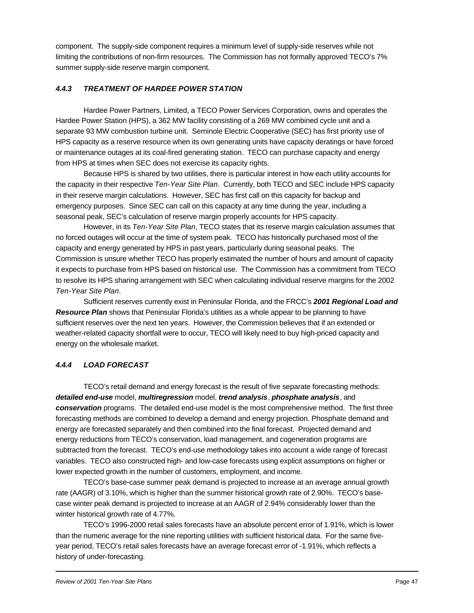component. The supply-side component requires a minimum level of supply-side reserves while not limiting the contributions of non-firm resources. The Commission has not formally approved TECO's 7% summer supply-side reserve margin component.

#### *4.4.3 TREATMENT OF HARDEE POWER STATION*

Hardee Power Partners, Limited, a TECO Power Services Corporation, owns and operates the Hardee Power Station (HPS), a 362 MW facility consisting of a 269 MW combined cycle unit and a separate 93 MW combustion turbine unit. Seminole Electric Cooperative (SEC) has first priority use of HPS capacity as a reserve resource when its own generating units have capacity deratings or have forced or maintenance outages at its coal-fired generating station. TECO can purchase capacity and energy from HPS at times when SEC does not exercise its capacity rights.

Because HPS is shared by two utilities, there is particular interest in how each utility accounts for the capacity in their respective *Ten-Year Site Plan*. Currently, both TECO and SEC include HPS capacity in their reserve margin calculations. However, SEC has first call on this capacity for backup and emergency purposes. Since SEC can call on this capacity at any time during the year, including a seasonal peak, SEC's calculation of reserve margin properly accounts for HPS capacity.

However, in its *Ten-Year Site Plan*, TECO states that its reserve margin calculation assumes that no forced outages will occur at the time of system peak. TECO has historically purchased most of the capacity and energy generated by HPS in past years, particularly during seasonal peaks. The Commission is unsure whether TECO has properly estimated the number of hours and amount of capacity it expects to purchase from HPS based on historical use. The Commission has a commitment from TECO to resolve its HPS sharing arrangement with SEC when calculating individual reserve margins for the 2002 *Ten-Year Site Plan*.

Sufficient reserves currently exist in Peninsular Florida, and the FRCC's *2001 Regional Load and Resource Plan* shows that Peninsular Florida's utilities as a whole appear to be planning to have sufficient reserves over the next ten years. However, the Commission believes that if an extended or weather-related capacity shortfall were to occur, TECO will likely need to buy high-priced capacity and energy on the wholesale market.

#### *4.4.4 LOAD FORECAST*

TECO's retail demand and energy forecast is the result of five separate forecasting methods: *detailed end-use* model, *multiregression* model, *trend analysis*, *phosphate analysis*, and *conservation* programs. The detailed end-use model is the most comprehensive method. The first three forecasting methods are combined to develop a demand and energy projection. Phosphate demand and energy are forecasted separately and then combined into the final forecast. Projected demand and energy reductions from TECO's conservation, load management, and cogeneration programs are subtracted from the forecast. TECO's end-use methodology takes into account a wide range of forecast variables. TECO also constructed high- and low-case forecasts using explicit assumptions on higher or lower expected growth in the number of customers, employment, and income.

TECO's base-case summer peak demand is projected to increase at an average annual growth rate (AAGR) of 3.10%, which is higher than the summer historical growth rate of 2.90%. TECO's basecase winter peak demand is projected to increase at an AAGR of 2.94% considerably lower than the winter historical growth rate of 4.77%.

TECO's 1996-2000 retail sales forecasts have an absolute percent error of 1.91%, which is lower than the numeric average for the nine reporting utilities with sufficient historical data. For the same fiveyear period, TECO's retail sales forecasts have an average forecast error of -1.91%, which reflects a history of under-forecasting.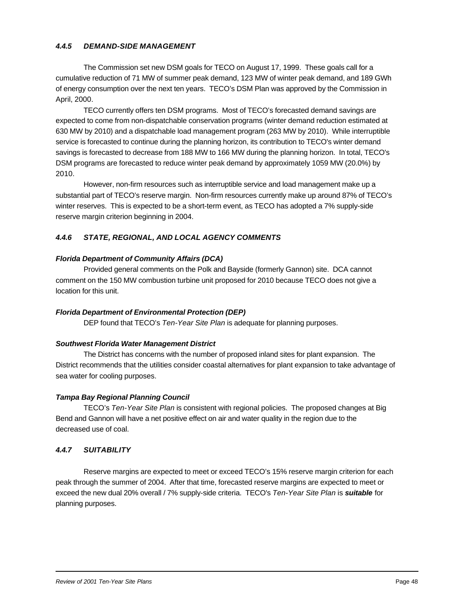#### *4.4.5 DEMAND-SIDE MANAGEMENT*

The Commission set new DSM goals for TECO on August 17, 1999. These goals call for a cumulative reduction of 71 MW of summer peak demand, 123 MW of winter peak demand, and 189 GWh of energy consumption over the next ten years. TECO's DSM Plan was approved by the Commission in April, 2000.

TECO currently offers ten DSM programs. Most of TECO's forecasted demand savings are expected to come from non-dispatchable conservation programs (winter demand reduction estimated at 630 MW by 2010) and a dispatchable load management program (263 MW by 2010). While interruptible service is forecasted to continue during the planning horizon, its contribution to TECO's winter demand savings is forecasted to decrease from 188 MW to 166 MW during the planning horizon. In total, TECO's DSM programs are forecasted to reduce winter peak demand by approximately 1059 MW (20.0%) by 2010.

However, non-firm resources such as interruptible service and load management make up a substantial part of TECO's reserve margin. Non-firm resources currently make up around 87% of TECO's winter reserves. This is expected to be a short-term event, as TECO has adopted a 7% supply-side reserve margin criterion beginning in 2004.

#### *4.4.6 STATE, REGIONAL, AND LOCAL AGENCY COMMENTS*

#### *Florida Department of Community Affairs (DCA)*

Provided general comments on the Polk and Bayside (formerly Gannon) site. DCA cannot comment on the 150 MW combustion turbine unit proposed for 2010 because TECO does not give a location for this unit.

#### *Florida Department of Environmental Protection (DEP)*

DEP found that TECO's *Ten-Year Site Plan* is adequate for planning purposes.

#### *Southwest Florida Water Management District*

The District has concerns with the number of proposed inland sites for plant expansion. The District recommends that the utilities consider coastal alternatives for plant expansion to take advantage of sea water for cooling purposes.

#### *Tampa Bay Regional Planning Council*

TECO's *Ten-Year Site Plan* is consistent with regional policies. The proposed changes at Big Bend and Gannon will have a net positive effect on air and water quality in the region due to the decreased use of coal.

#### *4.4.7 SUITABILITY*

Reserve margins are expected to meet or exceed TECO's 15% reserve margin criterion for each peak through the summer of 2004. After that time, forecasted reserve margins are expected to meet or exceed the new dual 20% overall / 7% supply-side criteria. TECO's *Ten-Year Site Plan* is *suitable* for planning purposes.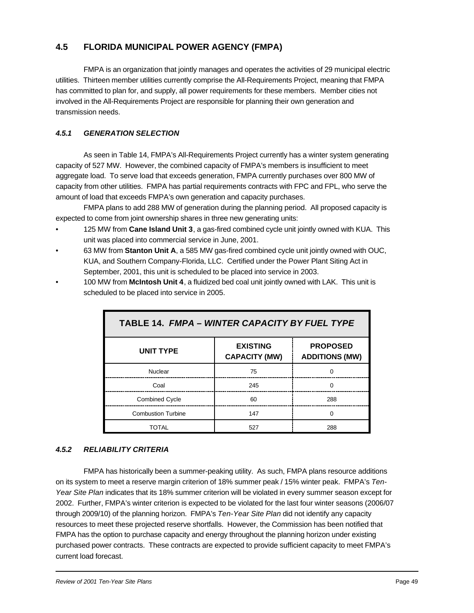# **4.5 FLORIDA MUNICIPAL POWER AGENCY (FMPA)**

FMPA is an organization that jointly manages and operates the activities of 29 municipal electric utilities. Thirteen member utilities currently comprise the All-Requirements Project, meaning that FMPA has committed to plan for, and supply, all power requirements for these members. Member cities not involved in the All-Requirements Project are responsible for planning their own generation and transmission needs.

#### *4.5.1 GENERATION SELECTION*

As seen in Table 14, FMPA's All-Requirements Project currently has a winter system generating capacity of 527 MW. However, the combined capacity of FMPA's members is insufficient to meet aggregate load. To serve load that exceeds generation, FMPA currently purchases over 800 MW of capacity from other utilities. FMPA has partial requirements contracts with FPC and FPL, who serve the amount of load that exceeds FMPA's own generation and capacity purchases.

FMPA plans to add 288 MW of generation during the planning period. All proposed capacity is expected to come from joint ownership shares in three new generating units:

- 125 MW from **Cane Island Unit 3**, a gas-fired combined cycle unit jointly owned with KUA. This unit was placed into commercial service in June, 2001.
- 63 MW from **Stanton Unit A**, a 585 MW gas-fired combined cycle unit jointly owned with OUC, KUA, and Southern Company-Florida, LLC. Certified under the Power Plant Siting Act in September, 2001, this unit is scheduled to be placed into service in 2003.
- 100 MW from **McIntosh Unit 4**, a fluidized bed coal unit jointly owned with LAK. This unit is scheduled to be placed into service in 2005.

| TABLE 14. FMPA - WINTER CAPACITY BY FUEL TYPE |                                         |                                          |  |
|-----------------------------------------------|-----------------------------------------|------------------------------------------|--|
| <b>UNIT TYPE</b>                              | <b>EXISTING</b><br><b>CAPACITY (MW)</b> | <b>PROPOSED</b><br><b>ADDITIONS (MW)</b> |  |
| Nuclear                                       | 75                                      |                                          |  |
| Coal                                          | 245                                     | n                                        |  |
| <b>Combined Cycle</b>                         | 60                                      | 288                                      |  |
| <b>Combustion Turbine</b>                     | 147                                     | ∩                                        |  |
| TOTAL                                         | 527                                     | 288                                      |  |

#### *4.5.2 RELIABILITY CRITERIA*

FMPA has historically been a summer-peaking utility. As such, FMPA plans resource additions on its system to meet a reserve margin criterion of 18% summer peak / 15% winter peak. FMPA's *Ten-Year Site Plan* indicates that its 18% summer criterion will be violated in every summer season except for 2002. Further, FMPA's winter criterion is expected to be violated for the last four winter seasons (2006/07 through 2009/10) of the planning horizon. FMPA's *Ten-Year Site Plan* did not identify any capacity resources to meet these projected reserve shortfalls. However, the Commission has been notified that FMPA has the option to purchase capacity and energy throughout the planning horizon under existing purchased power contracts. These contracts are expected to provide sufficient capacity to meet FMPA's current load forecast.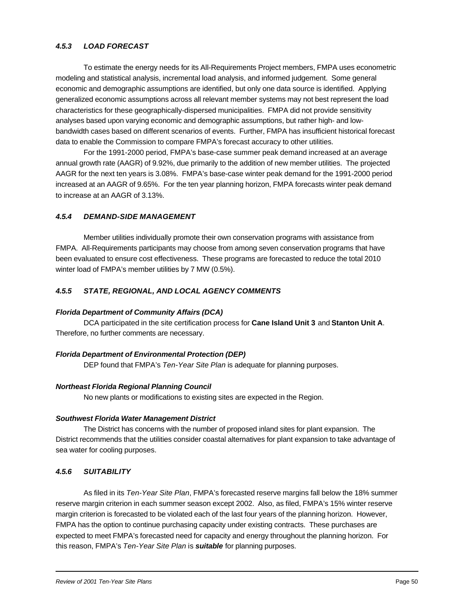#### *4.5.3 LOAD FORECAST*

To estimate the energy needs for its All-Requirements Project members, FMPA uses econometric modeling and statistical analysis, incremental load analysis, and informed judgement. Some general economic and demographic assumptions are identified, but only one data source is identified. Applying generalized economic assumptions across all relevant member systems may not best represent the load characteristics for these geographically-dispersed municipalities. FMPA did not provide sensitivity analyses based upon varying economic and demographic assumptions, but rather high- and lowbandwidth cases based on different scenarios of events. Further, FMPA has insufficient historical forecast data to enable the Commission to compare FMPA's forecast accuracy to other utilities.

For the 1991-2000 period, FMPA's base-case summer peak demand increased at an average annual growth rate (AAGR) of 9.92%, due primarily to the addition of new member utilities. The projected AAGR for the next ten years is 3.08%. FMPA's base-case winter peak demand for the 1991-2000 period increased at an AAGR of 9.65%. For the ten year planning horizon, FMPA forecasts winter peak demand to increase at an AAGR of 3.13%.

#### *4.5.4 DEMAND-SIDE MANAGEMENT*

Member utilities individually promote their own conservation programs with assistance from FMPA. All-Requirements participants may choose from among seven conservation programs that have been evaluated to ensure cost effectiveness. These programs are forecasted to reduce the total 2010 winter load of FMPA's member utilities by 7 MW (0.5%).

#### *4.5.5 STATE, REGIONAL, AND LOCAL AGENCY COMMENTS*

#### *Florida Department of Community Affairs (DCA)*

DCA participated in the site certification process for **Cane Island Unit 3** and **Stanton Unit A**. Therefore, no further comments are necessary.

#### *Florida Department of Environmental Protection (DEP)*

DEP found that FMPA's *Ten-Year Site Plan* is adequate for planning purposes.

#### *Northeast Florida Regional Planning Council*

No new plants or modifications to existing sites are expected in the Region.

#### *Southwest Florida Water Management District*

The District has concerns with the number of proposed inland sites for plant expansion. The District recommends that the utilities consider coastal alternatives for plant expansion to take advantage of sea water for cooling purposes.

#### *4.5.6 SUITABILITY*

As filed in its *Ten-Year Site Plan*, FMPA's forecasted reserve margins fall below the 18% summer reserve margin criterion in each summer season except 2002. Also, as filed, FMPA's 15% winter reserve margin criterion is forecasted to be violated each of the last four years of the planning horizon. However, FMPA has the option to continue purchasing capacity under existing contracts. These purchases are expected to meet FMPA's forecasted need for capacity and energy throughout the planning horizon. For this reason, FMPA's *Ten-Year Site Plan* is *suitable* for planning purposes.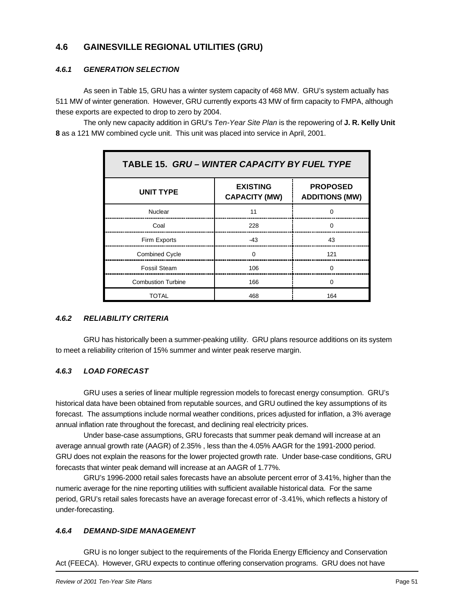# **4.6 GAINESVILLE REGIONAL UTILITIES (GRU)**

#### *4.6.1 GENERATION SELECTION*

As seen in Table 15, GRU has a winter system capacity of 468 MW. GRU's system actually has 511 MW of winter generation. However, GRU currently exports 43 MW of firm capacity to FMPA, although these exports are expected to drop to zero by 2004.

The only new capacity addition in GRU's *Ten-Year Site Plan* is the repowering of **J. R. Kelly Unit 8** as a 121 MW combined cycle unit. This unit was placed into service in April, 2001.

| TABLE 15. GRU - WINTER CAPACITY BY FUEL TYPE |                                         |                                          |  |
|----------------------------------------------|-----------------------------------------|------------------------------------------|--|
| <b>UNIT TYPE</b>                             | <b>EXISTING</b><br><b>CAPACITY (MW)</b> | <b>PROPOSED</b><br><b>ADDITIONS (MW)</b> |  |
| Nuclear                                      | 11                                      |                                          |  |
| Coal                                         | 228                                     | ∩                                        |  |
| Firm Exports                                 | $-43$                                   | 43                                       |  |
| <b>Combined Cycle</b>                        | $\Omega$                                | 121                                      |  |
| Fossil Steam                                 | 106                                     | $\Omega$                                 |  |
| <b>Combustion Turbine</b>                    | 166                                     | $\Omega$                                 |  |
| TOTAL                                        | 468                                     | 164                                      |  |

#### *4.6.2 RELIABILITY CRITERIA*

GRU has historically been a summer-peaking utility. GRU plans resource additions on its system to meet a reliability criterion of 15% summer and winter peak reserve margin.

#### *4.6.3 LOAD FORECAST*

GRU uses a series of linear multiple regression models to forecast energy consumption. GRU's historical data have been obtained from reputable sources, and GRU outlined the key assumptions of its forecast. The assumptions include normal weather conditions, prices adjusted for inflation, a 3% average annual inflation rate throughout the forecast, and declining real electricity prices.

Under base-case assumptions, GRU forecasts that summer peak demand will increase at an average annual growth rate (AAGR) of 2.35% , less than the 4.05% AAGR for the 1991-2000 period. GRU does not explain the reasons for the lower projected growth rate. Under base-case conditions, GRU forecasts that winter peak demand will increase at an AAGR of 1.77%.

GRU's 1996-2000 retail sales forecasts have an absolute percent error of 3.41%, higher than the numeric average for the nine reporting utilities with sufficient available historical data. For the same period, GRU's retail sales forecasts have an average forecast error of -3.41%, which reflects a history of under-forecasting.

#### *4.6.4 DEMAND-SIDE MANAGEMENT*

GRU is no longer subject to the requirements of the Florida Energy Efficiency and Conservation Act (FEECA). However, GRU expects to continue offering conservation programs. GRU does not have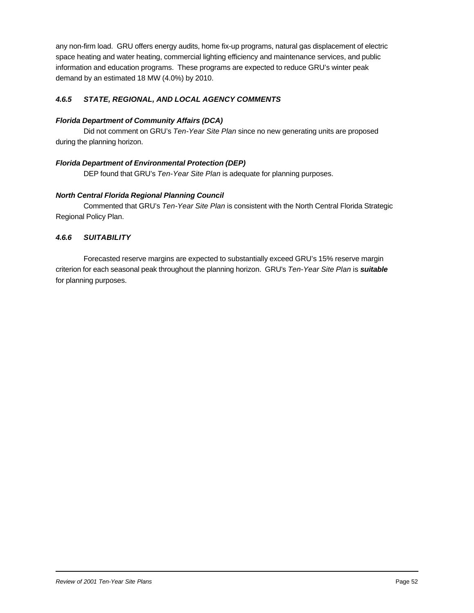any non-firm load. GRU offers energy audits, home fix-up programs, natural gas displacement of electric space heating and water heating, commercial lighting efficiency and maintenance services, and public information and education programs. These programs are expected to reduce GRU's winter peak demand by an estimated 18 MW (4.0%) by 2010.

#### *4.6.5 STATE, REGIONAL, AND LOCAL AGENCY COMMENTS*

#### *Florida Department of Community Affairs (DCA)*

Did not comment on GRU's *Ten-Year Site Plan* since no new generating units are proposed during the planning horizon.

#### *Florida Department of Environmental Protection (DEP)*

DEP found that GRU's *Ten-Year Site Plan* is adequate for planning purposes.

#### *North Central Florida Regional Planning Council*

Commented that GRU's *Ten-Year Site Plan* is consistent with the North Central Florida Strategic Regional Policy Plan.

#### *4.6.6 SUITABILITY*

Forecasted reserve margins are expected to substantially exceed GRU's 15% reserve margin criterion for each seasonal peak throughout the planning horizon. GRU's *Ten-Year Site Plan* is *suitable* for planning purposes.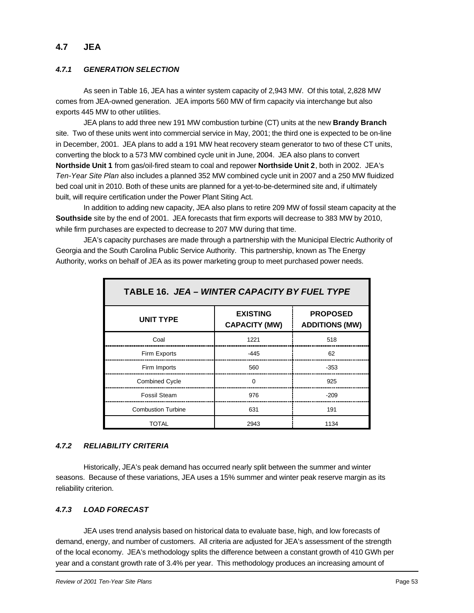### **4.7 JEA**

#### *4.7.1 GENERATION SELECTION*

As seen in Table 16, JEA has a winter system capacity of 2,943 MW. Of this total, 2,828 MW comes from JEA-owned generation. JEA imports 560 MW of firm capacity via interchange but also exports 445 MW to other utilities.

JEA plans to add three new 191 MW combustion turbine (CT) units at the new **Brandy Branch** site. Two of these units went into commercial service in May, 2001; the third one is expected to be on-line in December, 2001. JEA plans to add a 191 MW heat recovery steam generator to two of these CT units, converting the block to a 573 MW combined cycle unit in June, 2004. JEA also plans to convert **Northside Unit 1** from gas/oil-fired steam to coal and repower **Northside Unit 2**, both in 2002. JEA's *Ten-Year Site Plan* also includes a planned 352 MW combined cycle unit in 2007 and a 250 MW fluidized bed coal unit in 2010. Both of these units are planned for a yet-to-be-determined site and, if ultimately built, will require certification under the Power Plant Siting Act.

In addition to adding new capacity, JEA also plans to retire 209 MW of fossil steam capacity at the **Southside** site by the end of 2001. JEA forecasts that firm exports will decrease to 383 MW by 2010, while firm purchases are expected to decrease to 207 MW during that time.

JEA's capacity purchases are made through a partnership with the Municipal Electric Authority of Georgia and the South Carolina Public Service Authority. This partnership, known as The Energy Authority, works on behalf of JEA as its power marketing group to meet purchased power needs.

| TABLE 16. JEA – WINTER CAPACITY BY FUEL TYPE |                                         |                                          |
|----------------------------------------------|-----------------------------------------|------------------------------------------|
| <b>UNIT TYPE</b>                             | <b>EXISTING</b><br><b>CAPACITY (MW)</b> | <b>PROPOSED</b><br><b>ADDITIONS (MW)</b> |
| Coal                                         | 1221                                    | 518                                      |
| Firm Exports                                 | $-445$                                  | 62                                       |
| Firm Imports                                 | 560                                     | $-353$                                   |
| <b>Combined Cycle</b>                        | $\Omega$                                | 925                                      |
| <b>Fossil Steam</b>                          | 976                                     | $-209$                                   |
| <b>Combustion Turbine</b>                    | 631                                     | 191                                      |
| TOTAL                                        | 2943                                    | 1134                                     |

#### *4.7.2 RELIABILITY CRITERIA*

Historically, JEA's peak demand has occurred nearly split between the summer and winter seasons. Because of these variations, JEA uses a 15% summer and winter peak reserve margin as its reliability criterion.

#### *4.7.3 LOAD FORECAST*

JEA uses trend analysis based on historical data to evaluate base, high, and low forecasts of demand, energy, and number of customers. All criteria are adjusted for JEA's assessment of the strength of the local economy. JEA's methodology splits the difference between a constant growth of 410 GWh per year and a constant growth rate of 3.4% per year. This methodology produces an increasing amount of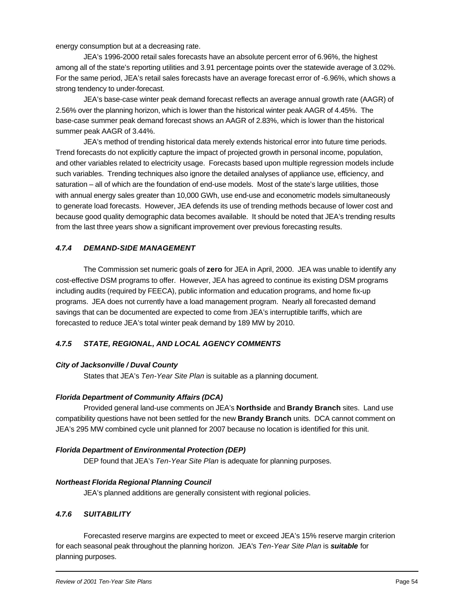energy consumption but at a decreasing rate.

JEA's 1996-2000 retail sales forecasts have an absolute percent error of 6.96%, the highest among all of the state's reporting utilities and 3.91 percentage points over the statewide average of 3.02%. For the same period, JEA's retail sales forecasts have an average forecast error of -6.96%, which shows a strong tendency to under-forecast.

JEA's base-case winter peak demand forecast reflects an average annual growth rate (AAGR) of 2.56% over the planning horizon, which is lower than the historical winter peak AAGR of 4.45%. The base-case summer peak demand forecast shows an AAGR of 2.83%, which is lower than the historical summer peak AAGR of 3.44%.

JEA's method of trending historical data merely extends historical error into future time periods. Trend forecasts do not explicitly capture the impact of projected growth in personal income, population, and other variables related to electricity usage. Forecasts based upon multiple regression models include such variables. Trending techniques also ignore the detailed analyses of appliance use, efficiency, and saturation – all of which are the foundation of end-use models. Most of the state's large utilities, those with annual energy sales greater than 10,000 GWh, use end-use and econometric models simultaneously to generate load forecasts. However, JEA defends its use of trending methods because of lower cost and because good quality demographic data becomes available. It should be noted that JEA's trending results from the last three years show a significant improvement over previous forecasting results.

#### *4.7.4 DEMAND-SIDE MANAGEMENT*

The Commission set numeric goals of **zero** for JEA in April, 2000. JEA was unable to identify any cost-effective DSM programs to offer. However, JEA has agreed to continue its existing DSM programs including audits (required by FEECA), public information and education programs, and home fix-up programs. JEA does not currently have a load management program. Nearly all forecasted demand savings that can be documented are expected to come from JEA's interruptible tariffs, which are forecasted to reduce JEA's total winter peak demand by 189 MW by 2010.

#### *4.7.5 STATE, REGIONAL, AND LOCAL AGENCY COMMENTS*

#### *City of Jacksonville / Duval County*

States that JEA's *Ten-Year Site Plan* is suitable as a planning document.

#### *Florida Department of Community Affairs (DCA)*

Provided general land-use comments on JEA's **Northside** and **Brandy Branch** sites. Land use compatibility questions have not been settled for the new **Brandy Branch** units. DCA cannot comment on JEA's 295 MW combined cycle unit planned for 2007 because no location is identified for this unit.

#### *Florida Department of Environmental Protection (DEP)*

DEP found that JEA's *Ten-Year Site Plan* is adequate for planning purposes.

#### *Northeast Florida Regional Planning Council*

JEA's planned additions are generally consistent with regional policies.

#### *4.7.6 SUITABILITY*

Forecasted reserve margins are expected to meet or exceed JEA's 15% reserve margin criterion for each seasonal peak throughout the planning horizon. JEA's *Ten-Year Site Plan* is *suitable* for planning purposes.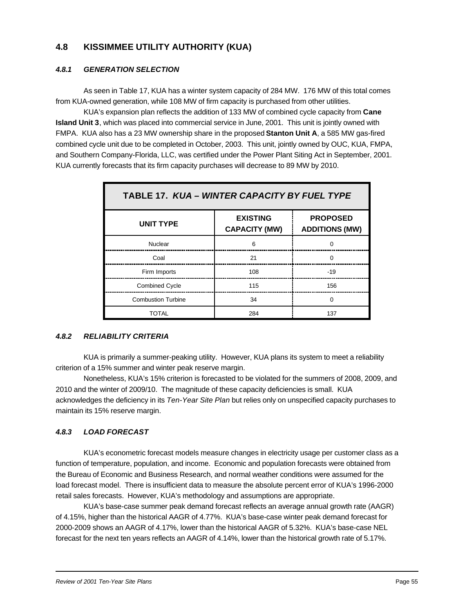# **4.8 KISSIMMEE UTILITY AUTHORITY (KUA)**

#### *4.8.1 GENERATION SELECTION*

As seen in Table 17, KUA has a winter system capacity of 284 MW. 176 MW of this total comes from KUA-owned generation, while 108 MW of firm capacity is purchased from other utilities.

KUA's expansion plan reflects the addition of 133 MW of combined cycle capacity from **Cane Island Unit 3**, which was placed into commercial service in June, 2001. This unit is jointly owned with FMPA. KUA also has a 23 MW ownership share in the proposed **Stanton Unit A**, a 585 MW gas-fired combined cycle unit due to be completed in October, 2003. This unit, jointly owned by OUC, KUA, FMPA, and Southern Company-Florida, LLC, was certified under the Power Plant Siting Act in September, 2001. KUA currently forecasts that its firm capacity purchases will decrease to 89 MW by 2010.

| TABLE 17. KUA – WINTER CAPACITY BY FUEL TYPE |                                         |                                          |  |
|----------------------------------------------|-----------------------------------------|------------------------------------------|--|
| <b>UNIT TYPE</b>                             | <b>EXISTING</b><br><b>CAPACITY (MW)</b> | <b>PROPOSED</b><br><b>ADDITIONS (MW)</b> |  |
| Nuclear                                      | 6                                       |                                          |  |
| Coal                                         | 21                                      | U                                        |  |
| Firm Imports                                 | 108                                     | $-19$                                    |  |
| <b>Combined Cycle</b>                        | 115                                     | 156                                      |  |
| <b>Combustion Turbine</b>                    | 34                                      | $\Omega$                                 |  |
| TOTAL                                        | 284                                     | 137                                      |  |

#### *4.8.2 RELIABILITY CRITERIA*

KUA is primarily a summer-peaking utility. However, KUA plans its system to meet a reliability criterion of a 15% summer and winter peak reserve margin.

Nonetheless, KUA's 15% criterion is forecasted to be violated for the summers of 2008, 2009, and 2010 and the winter of 2009/10. The magnitude of these capacity deficiencies is small. KUA acknowledges the deficiency in its *Ten-Year Site Plan* but relies only on unspecified capacity purchases to maintain its 15% reserve margin.

### *4.8.3 LOAD FORECAST*

KUA's econometric forecast models measure changes in electricity usage per customer class as a function of temperature, population, and income. Economic and population forecasts were obtained from the Bureau of Economic and Business Research, and normal weather conditions were assumed for the load forecast model. There is insufficient data to measure the absolute percent error of KUA's 1996-2000 retail sales forecasts. However, KUA's methodology and assumptions are appropriate.

KUA's base-case summer peak demand forecast reflects an average annual growth rate (AAGR) of 4.15%, higher than the historical AAGR of 4.77%. KUA's base-case winter peak demand forecast for 2000-2009 shows an AAGR of 4.17%, lower than the historical AAGR of 5.32%. KUA's base-case NEL forecast for the next ten years reflects an AAGR of 4.14%, lower than the historical growth rate of 5.17%.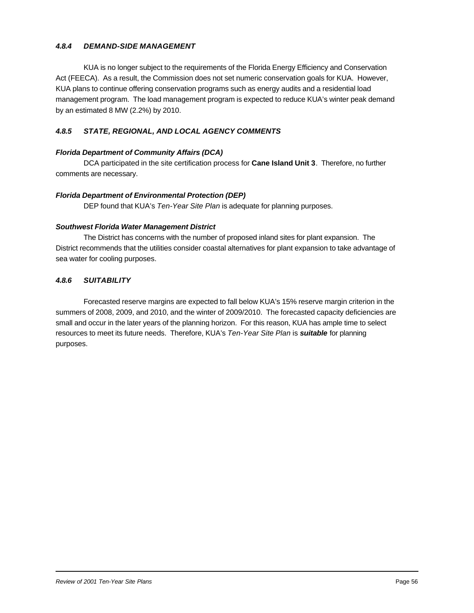#### *4.8.4 DEMAND-SIDE MANAGEMENT*

KUA is no longer subject to the requirements of the Florida Energy Efficiency and Conservation Act (FEECA). As a result, the Commission does not set numeric conservation goals for KUA. However, KUA plans to continue offering conservation programs such as energy audits and a residential load management program. The load management program is expected to reduce KUA's winter peak demand by an estimated 8 MW (2.2%) by 2010.

#### *4.8.5 STATE, REGIONAL, AND LOCAL AGENCY COMMENTS*

#### *Florida Department of Community Affairs (DCA)*

DCA participated in the site certification process for **Cane Island Unit 3**. Therefore, no further comments are necessary.

#### *Florida Department of Environmental Protection (DEP)*

DEP found that KUA's *Ten-Year Site Plan* is adequate for planning purposes.

#### *Southwest Florida Water Management District*

The District has concerns with the number of proposed inland sites for plant expansion. The District recommends that the utilities consider coastal alternatives for plant expansion to take advantage of sea water for cooling purposes.

#### *4.8.6 SUITABILITY*

Forecasted reserve margins are expected to fall below KUA's 15% reserve margin criterion in the summers of 2008, 2009, and 2010, and the winter of 2009/2010. The forecasted capacity deficiencies are small and occur in the later years of the planning horizon. For this reason, KUA has ample time to select resources to meet its future needs. Therefore, KUA's *Ten-Year Site Plan* is *suitable* for planning purposes.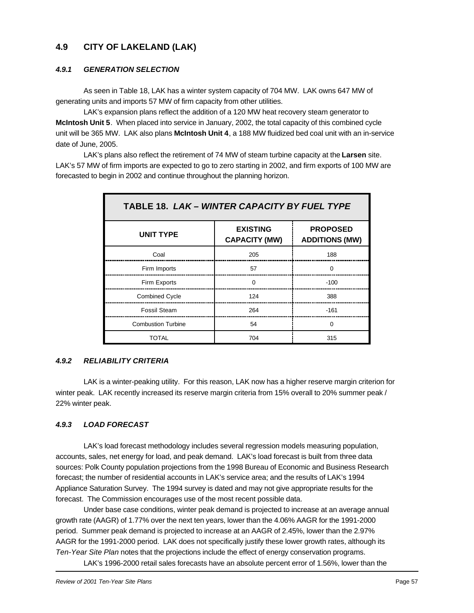# **4.9 CITY OF LAKELAND (LAK)**

#### *4.9.1 GENERATION SELECTION*

As seen in Table 18, LAK has a winter system capacity of 704 MW. LAK owns 647 MW of generating units and imports 57 MW of firm capacity from other utilities.

LAK's expansion plans reflect the addition of a 120 MW heat recovery steam generator to **McIntosh Unit 5**. When placed into service in January, 2002, the total capacity of this combined cycle unit will be 365 MW. LAK also plans **McIntosh Unit 4**, a 188 MW fluidized bed coal unit with an in-service date of June, 2005.

LAK's plans also reflect the retirement of 74 MW of steam turbine capacity at the **Larsen** site. LAK's 57 MW of firm imports are expected to go to zero starting in 2002, and firm exports of 100 MW are forecasted to begin in 2002 and continue throughout the planning horizon.

| <b>TABLE 18. LAK - WINTER CAPACITY BY FUEL TYPE</b> |                                         |                                          |
|-----------------------------------------------------|-----------------------------------------|------------------------------------------|
| <b>UNIT TYPE</b>                                    | <b>EXISTING</b><br><b>CAPACITY (MW)</b> | <b>PROPOSED</b><br><b>ADDITIONS (MW)</b> |
| Coal                                                | 205                                     | 188                                      |
| Firm Imports                                        | 57                                      | $\Omega$                                 |
| Firm Exports                                        | $\Omega$                                | $-100$                                   |
| <b>Combined Cycle</b>                               | 124                                     | 388                                      |
| <b>Fossil Steam</b>                                 | 264                                     | $-161$                                   |
| <b>Combustion Turbine</b>                           | 54                                      | $\Omega$                                 |
| TOTAL                                               | 704                                     | 315                                      |

#### *4.9.2 RELIABILITY CRITERIA*

LAK is a winter-peaking utility. For this reason, LAK now has a higher reserve margin criterion for winter peak. LAK recently increased its reserve margin criteria from 15% overall to 20% summer peak / 22% winter peak.

#### *4.9.3 LOAD FORECAST*

LAK's load forecast methodology includes several regression models measuring population, accounts, sales, net energy for load, and peak demand. LAK's load forecast is built from three data sources: Polk County population projections from the 1998 Bureau of Economic and Business Research forecast; the number of residential accounts in LAK's service area; and the results of LAK's 1994 Appliance Saturation Survey. The 1994 survey is dated and may not give appropriate results for the forecast. The Commission encourages use of the most recent possible data.

Under base case conditions, winter peak demand is projected to increase at an average annual growth rate (AAGR) of 1.77% over the next ten years, lower than the 4.06% AAGR for the 1991-2000 period. Summer peak demand is projected to increase at an AAGR of 2.45%, lower than the 2.97% AAGR for the 1991-2000 period. LAK does not specifically justify these lower growth rates, although its *Ten-Year Site Plan* notes that the projections include the effect of energy conservation programs.

LAK's 1996-2000 retail sales forecasts have an absolute percent error of 1.56%, lower than the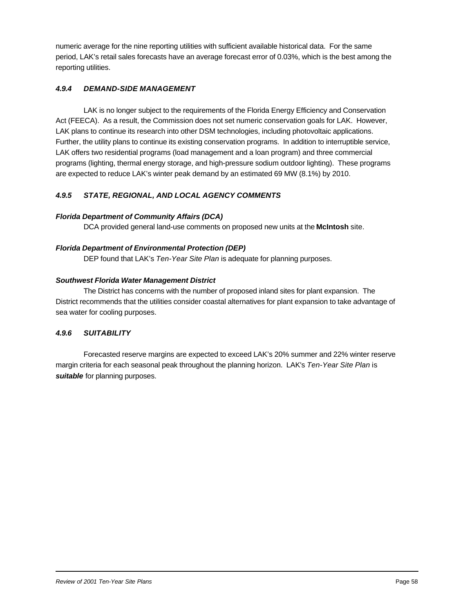numeric average for the nine reporting utilities with sufficient available historical data. For the same period, LAK's retail sales forecasts have an average forecast error of 0.03%, which is the best among the reporting utilities.

#### *4.9.4 DEMAND-SIDE MANAGEMENT*

LAK is no longer subject to the requirements of the Florida Energy Efficiency and Conservation Act (FEECA). As a result, the Commission does not set numeric conservation goals for LAK. However, LAK plans to continue its research into other DSM technologies, including photovoltaic applications. Further, the utility plans to continue its existing conservation programs. In addition to interruptible service, LAK offers two residential programs (load management and a loan program) and three commercial programs (lighting, thermal energy storage, and high-pressure sodium outdoor lighting). These programs are expected to reduce LAK's winter peak demand by an estimated 69 MW (8.1%) by 2010.

### *4.9.5 STATE, REGIONAL, AND LOCAL AGENCY COMMENTS*

#### *Florida Department of Community Affairs (DCA)*

DCA provided general land-use comments on proposed new units at the **McIntosh** site.

#### *Florida Department of Environmental Protection (DEP)*

DEP found that LAK's *Ten-Year Site Plan* is adequate for planning purposes.

#### *Southwest Florida Water Management District*

The District has concerns with the number of proposed inland sites for plant expansion. The District recommends that the utilities consider coastal alternatives for plant expansion to take advantage of sea water for cooling purposes.

#### *4.9.6 SUITABILITY*

Forecasted reserve margins are expected to exceed LAK's 20% summer and 22% winter reserve margin criteria for each seasonal peak throughout the planning horizon. LAK's *Ten-Year Site Plan* is *suitable* for planning purposes.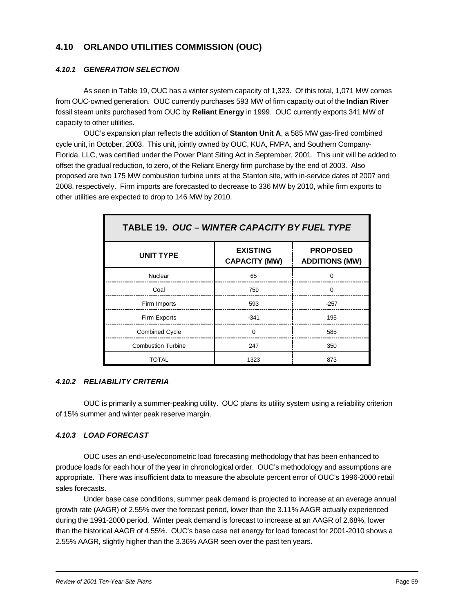# **4.10 ORLANDO UTILITIES COMMISSION (OUC)**

#### *4.10.1 GENERATION SELECTION*

As seen in Table 19, OUC has a winter system capacity of 1,323. Of this total, 1,071 MW comes from OUC-owned generation. OUC currently purchases 593 MW of firm capacity out of the **Indian River** fossil steam units purchased from OUC by **Reliant Energy** in 1999. OUC currently exports 341 MW of capacity to other utilities.

OUC's expansion plan reflects the addition of **Stanton Unit A**, a 585 MW gas-fired combined cycle unit, in October, 2003. This unit, jointly owned by OUC, KUA, FMPA, and Southern Company-Florida, LLC, was certified under the Power Plant Siting Act in September, 2001. This unit will be added to offset the gradual reduction, to zero, of the Reliant Energy firm purchase by the end of 2003. Also proposed are two 175 MW combustion turbine units at the Stanton site, with in-service dates of 2007 and 2008, respectively. Firm imports are forecasted to decrease to 336 MW by 2010, while firm exports to other utilities are expected to drop to 146 MW by 2010.

| TABLE 19. OUC - WINTER CAPACITY BY FUEL TYPE |                                         |                                          |
|----------------------------------------------|-----------------------------------------|------------------------------------------|
| <b>UNIT TYPE</b>                             | <b>EXISTING</b><br><b>CAPACITY (MW)</b> | <b>PROPOSED</b><br><b>ADDITIONS (MW)</b> |
| Nuclear                                      | 65                                      |                                          |
| Coal                                         | 759                                     |                                          |
| Firm Imports                                 | 593                                     | $-257$                                   |
| Firm Exports                                 | $-341$                                  | 195                                      |
| <b>Combined Cycle</b>                        | ∩                                       | 585                                      |
| <b>Combustion Turbine</b>                    | 247                                     | 350                                      |
| TOTAL                                        | 1323                                    | 873                                      |

#### *4.10.2 RELIABILITY CRITERIA*

OUC is primarily a summer-peaking utility. OUC plans its utility system using a reliability criterion of 15% summer and winter peak reserve margin.

#### *4.10.3 LOAD FORECAST*

OUC uses an end-use/econometric load forecasting methodology that has been enhanced to produce loads for each hour of the year in chronological order. OUC's methodology and assumptions are appropriate. There was insufficient data to measure the absolute percent error of OUC's 1996-2000 retail sales forecasts.

Under base case conditions, summer peak demand is projected to increase at an average annual growth rate (AAGR) of 2.55% over the forecast period, lower than the 3.11% AAGR actually experienced during the 1991-2000 period. Winter peak demand is forecast to increase at an AAGR of 2.68%, lower than the historical AAGR of 4.55%. OUC's base case net energy for load forecast for 2001-2010 shows a 2.55% AAGR, slightly higher than the 3.36% AAGR seen over the past ten years.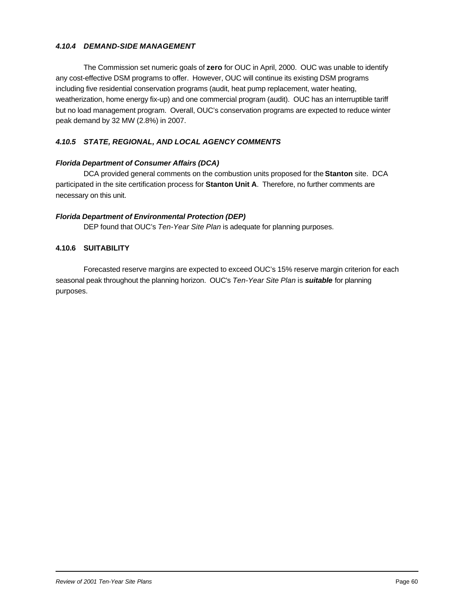#### *4.10.4 DEMAND-SIDE MANAGEMENT*

The Commission set numeric goals of **zero** for OUC in April, 2000. OUC was unable to identify any cost-effective DSM programs to offer. However, OUC will continue its existing DSM programs including five residential conservation programs (audit, heat pump replacement, water heating, weatherization, home energy fix-up) and one commercial program (audit). OUC has an interruptible tariff but no load management program. Overall, OUC's conservation programs are expected to reduce winter peak demand by 32 MW (2.8%) in 2007.

#### *4.10.5 STATE, REGIONAL, AND LOCAL AGENCY COMMENTS*

#### *Florida Department of Consumer Affairs (DCA)*

DCA provided general comments on the combustion units proposed for the **Stanton** site. DCA participated in the site certification process for **Stanton Unit A**. Therefore, no further comments are necessary on this unit.

#### *Florida Department of Environmental Protection (DEP)*

DEP found that OUC's *Ten-Year Site Plan* is adequate for planning purposes.

#### **4.10.6 SUITABILITY**

Forecasted reserve margins are expected to exceed OUC's 15% reserve margin criterion for each seasonal peak throughout the planning horizon. OUC's *Ten-Year Site Plan* is *suitable* for planning purposes.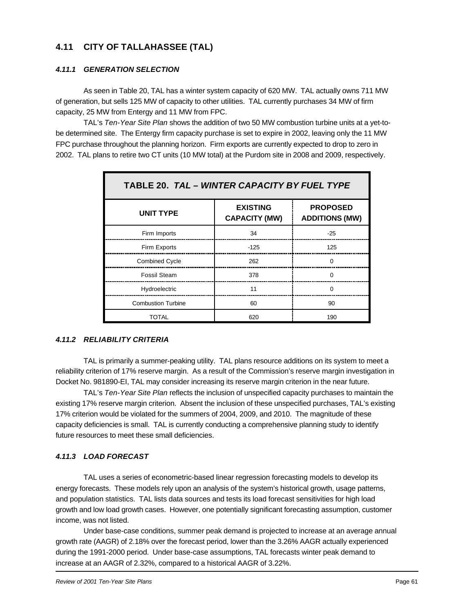# **4.11 CITY OF TALLAHASSEE (TAL)**

#### *4.11.1 GENERATION SELECTION*

As seen in Table 20, TAL has a winter system capacity of 620 MW. TAL actually owns 711 MW of generation, but sells 125 MW of capacity to other utilities. TAL currently purchases 34 MW of firm capacity, 25 MW from Entergy and 11 MW from FPC.

TAL's *Ten-Year Site Plan* shows the addition of two 50 MW combustion turbine units at a yet-tobe determined site. The Entergy firm capacity purchase is set to expire in 2002, leaving only the 11 MW FPC purchase throughout the planning horizon. Firm exports are currently expected to drop to zero in 2002. TAL plans to retire two CT units (10 MW total) at the Purdom site in 2008 and 2009, respectively.

| TABLE 20. TAL - WINTER CAPACITY BY FUEL TYPE |                                         |                                          |  |
|----------------------------------------------|-----------------------------------------|------------------------------------------|--|
| <b>UNIT TYPE</b>                             | <b>EXISTING</b><br><b>CAPACITY (MW)</b> | <b>PROPOSED</b><br><b>ADDITIONS (MW)</b> |  |
| Firm Imports                                 | 34                                      | $-25$                                    |  |
| Firm Exports                                 | $-125$                                  | 125                                      |  |
| <b>Combined Cycle</b>                        | 262                                     | $\Omega$                                 |  |
| <b>Fossil Steam</b>                          | 378                                     | ∩                                        |  |
| Hydroelectric                                | 11                                      | $\Omega$                                 |  |
| <b>Combustion Turbine</b>                    | 60                                      | 90                                       |  |
| TOTAL                                        | 620                                     | 190                                      |  |

#### *4.11.2 RELIABILITY CRITERIA*

TAL is primarily a summer-peaking utility. TAL plans resource additions on its system to meet a reliability criterion of 17% reserve margin. As a result of the Commission's reserve margin investigation in Docket No. 981890-EI, TAL may consider increasing its reserve margin criterion in the near future.

TAL's *Ten-Year Site Plan* reflects the inclusion of unspecified capacity purchases to maintain the existing 17% reserve margin criterion. Absent the inclusion of these unspecified purchases, TAL's existing 17% criterion would be violated for the summers of 2004, 2009, and 2010. The magnitude of these capacity deficiencies is small. TAL is currently conducting a comprehensive planning study to identify future resources to meet these small deficiencies.

#### *4.11.3 LOAD FORECAST*

TAL uses a series of econometric-based linear regression forecasting models to develop its energy forecasts. These models rely upon an analysis of the system's historical growth, usage patterns, and population statistics. TAL lists data sources and tests its load forecast sensitivities for high load growth and low load growth cases. However, one potentially significant forecasting assumption, customer income, was not listed.

Under base-case conditions, summer peak demand is projected to increase at an average annual growth rate (AAGR) of 2.18% over the forecast period, lower than the 3.26% AAGR actually experienced during the 1991-2000 period. Under base-case assumptions, TAL forecasts winter peak demand to increase at an AAGR of 2.32%, compared to a historical AAGR of 3.22%.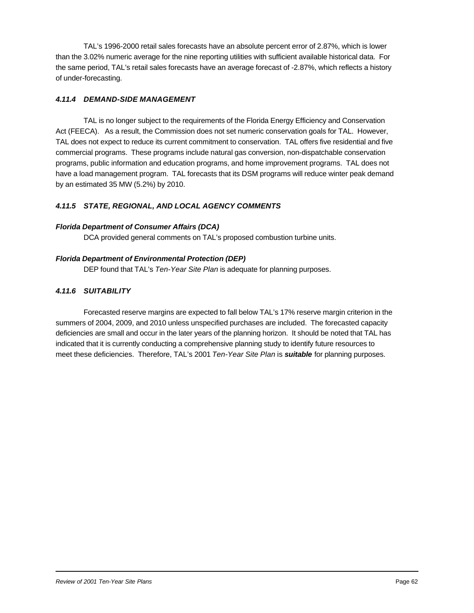TAL's 1996-2000 retail sales forecasts have an absolute percent error of 2.87%, which is lower than the 3.02% numeric average for the nine reporting utilities with sufficient available historical data. For the same period, TAL's retail sales forecasts have an average forecast of -2.87%, which reflects a history of under-forecasting.

#### *4.11.4 DEMAND-SIDE MANAGEMENT*

TAL is no longer subject to the requirements of the Florida Energy Efficiency and Conservation Act (FEECA). As a result, the Commission does not set numeric conservation goals for TAL. However, TAL does not expect to reduce its current commitment to conservation. TAL offers five residential and five commercial programs. These programs include natural gas conversion, non-dispatchable conservation programs, public information and education programs, and home improvement programs. TAL does not have a load management program. TAL forecasts that its DSM programs will reduce winter peak demand by an estimated 35 MW (5.2%) by 2010.

#### *4.11.5 STATE, REGIONAL, AND LOCAL AGENCY COMMENTS*

#### *Florida Department of Consumer Affairs (DCA)*

DCA provided general comments on TAL's proposed combustion turbine units.

#### *Florida Department of Environmental Protection (DEP)*

DEP found that TAL's *Ten-Year Site Plan* is adequate for planning purposes.

#### *4.11.6 SUITABILITY*

Forecasted reserve margins are expected to fall below TAL's 17% reserve margin criterion in the summers of 2004, 2009, and 2010 unless unspecified purchases are included. The forecasted capacity deficiencies are small and occur in the later years of the planning horizon. It should be noted that TAL has indicated that it is currently conducting a comprehensive planning study to identify future resources to meet these deficiencies. Therefore, TAL's 2001 *Ten-Year Site Plan* is *suitable* for planning purposes.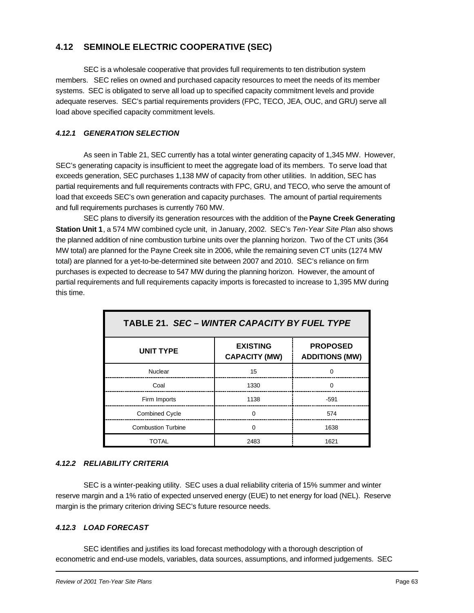# **4.12 SEMINOLE ELECTRIC COOPERATIVE (SEC)**

SEC is a wholesale cooperative that provides full requirements to ten distribution system members. SEC relies on owned and purchased capacity resources to meet the needs of its member systems. SEC is obligated to serve all load up to specified capacity commitment levels and provide adequate reserves. SEC's partial requirements providers (FPC, TECO, JEA, OUC, and GRU) serve all load above specified capacity commitment levels.

#### *4.12.1 GENERATION SELECTION*

As seen in Table 21, SEC currently has a total winter generating capacity of 1,345 MW. However, SEC's generating capacity is insufficient to meet the aggregate load of its members. To serve load that exceeds generation, SEC purchases 1,138 MW of capacity from other utilities. In addition, SEC has partial requirements and full requirements contracts with FPC, GRU, and TECO, who serve the amount of load that exceeds SEC's own generation and capacity purchases. The amount of partial requirements and full requirements purchases is currently 760 MW.

SEC plans to diversify its generation resources with the addition of the **Payne Creek Generating Station Unit 1**, a 574 MW combined cycle unit, in January, 2002. SEC's *Ten-Year Site Plan* also shows the planned addition of nine combustion turbine units over the planning horizon. Two of the CT units (364 MW total) are planned for the Payne Creek site in 2006, while the remaining seven CT units (1274 MW total) are planned for a yet-to-be-determined site between 2007 and 2010. SEC's reliance on firm purchases is expected to decrease to 547 MW during the planning horizon. However, the amount of partial requirements and full requirements capacity imports is forecasted to increase to 1,395 MW during this time.

| <b>TABLE 21. SEC - WINTER CAPACITY BY FUEL TYPE</b> |                                         |                                          |
|-----------------------------------------------------|-----------------------------------------|------------------------------------------|
| <b>UNIT TYPE</b>                                    | <b>EXISTING</b><br><b>CAPACITY (MW)</b> | <b>PROPOSED</b><br><b>ADDITIONS (MW)</b> |
| Nuclear                                             | 15                                      |                                          |
| Coal                                                | 1330                                    |                                          |
| Firm Imports                                        | 1138                                    | $-591$                                   |
| <b>Combined Cycle</b>                               |                                         | 574                                      |
| <b>Combustion Turbine</b>                           | n                                       | 1638                                     |
| TOTAL                                               | 2483                                    | 1621                                     |

#### *4.12.2 RELIABILITY CRITERIA*

SEC is a winter-peaking utility. SEC uses a dual reliability criteria of 15% summer and winter reserve margin and a 1% ratio of expected unserved energy (EUE) to net energy for load (NEL). Reserve margin is the primary criterion driving SEC's future resource needs.

#### *4.12.3 LOAD FORECAST*

SEC identifies and justifies its load forecast methodology with a thorough description of econometric and end-use models, variables, data sources, assumptions, and informed judgements. SEC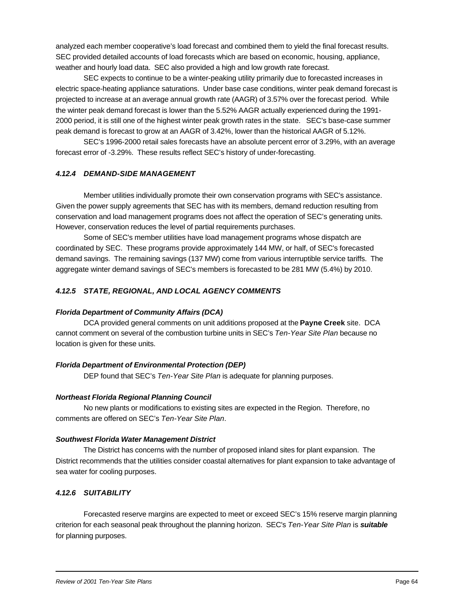analyzed each member cooperative's load forecast and combined them to yield the final forecast results. SEC provided detailed accounts of load forecasts which are based on economic, housing, appliance, weather and hourly load data. SEC also provided a high and low growth rate forecast.

SEC expects to continue to be a winter-peaking utility primarily due to forecasted increases in electric space-heating appliance saturations. Under base case conditions, winter peak demand forecast is projected to increase at an average annual growth rate (AAGR) of 3.57% over the forecast period. While the winter peak demand forecast is lower than the 5.52% AAGR actually experienced during the 1991- 2000 period, it is still one of the highest winter peak growth rates in the state. SEC's base-case summer peak demand is forecast to grow at an AAGR of 3.42%, lower than the historical AAGR of 5.12%.

SEC's 1996-2000 retail sales forecasts have an absolute percent error of 3.29%, with an average forecast error of -3.29%. These results reflect SEC's history of under-forecasting.

#### *4.12.4 DEMAND-SIDE MANAGEMENT*

Member utilities individually promote their own conservation programs with SEC's assistance. Given the power supply agreements that SEC has with its members, demand reduction resulting from conservation and load management programs does not affect the operation of SEC's generating units. However, conservation reduces the level of partial requirements purchases.

Some of SEC's member utilities have load management programs whose dispatch are coordinated by SEC. These programs provide approximately 144 MW, or half, of SEC's forecasted demand savings. The remaining savings (137 MW) come from various interruptible service tariffs. The aggregate winter demand savings of SEC's members is forecasted to be 281 MW (5.4%) by 2010.

#### *4.12.5 STATE, REGIONAL, AND LOCAL AGENCY COMMENTS*

#### *Florida Department of Community Affairs (DCA)*

DCA provided general comments on unit additions proposed at the **Payne Creek** site. DCA cannot comment on several of the combustion turbine units in SEC's *Ten-Year Site Plan* because no location is given for these units.

#### *Florida Department of Environmental Protection (DEP)*

DEP found that SEC's *Ten-Year Site Plan* is adequate for planning purposes.

#### *Northeast Florida Regional Planning Council*

No new plants or modifications to existing sites are expected in the Region. Therefore, no comments are offered on SEC's *Ten-Year Site Plan*.

#### *Southwest Florida Water Management District*

The District has concerns with the number of proposed inland sites for plant expansion. The District recommends that the utilities consider coastal alternatives for plant expansion to take advantage of sea water for cooling purposes.

#### *4.12.6 SUITABILITY*

Forecasted reserve margins are expected to meet or exceed SEC's 15% reserve margin planning criterion for each seasonal peak throughout the planning horizon. SEC's *Ten-Year Site Plan* is *suitable* for planning purposes.